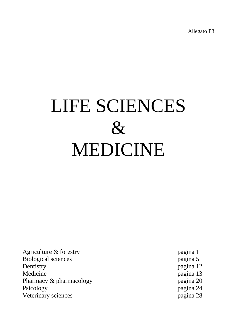Allegato F3

## LIFE SCIENCES  $\&$ MEDICINE

Agriculture & forestry pagina 1 Biological sciences pagina 5 Dentistry pagina 12 Medicine pagina 13 Pharmacy & pharmacology pagina 20 Psicology pagina 24 Veterinary sciences pagina 28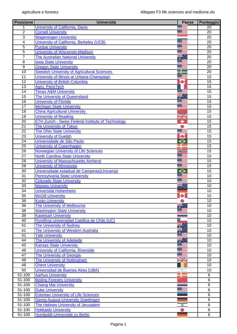| <b>Posizione</b> | <b>Università</b>                                                  | <b>Paese</b>       | Punteggio       |
|------------------|--------------------------------------------------------------------|--------------------|-----------------|
|                  | University of California, Davis                                    |                    | 20              |
| $\overline{2}$   | <b>Cornell University</b>                                          |                    | $\overline{20}$ |
| $\overline{3}$   | <b>Wageningen University</b>                                       |                    | 20              |
| $\overline{4}$   | University of California, Berkeley (UCB)                           |                    | 20              |
| $\overline{5}$   | <b>Purdue University</b>                                           |                    | $\overline{20}$ |
| 5                | <b>University of Wisconsin-Madison</b>                             |                    | 20              |
| $\overline{7}$   | <b>The Australian National University</b>                          | ▓                  | 20              |
| $\overline{8}$   | <b>Iowa State University</b>                                       |                    | $\overline{20}$ |
| $\overline{9}$   | <b>Oregon State University</b>                                     |                    | 20              |
| 10               | <b>Swedish University of Agricultural Sciences</b>                 |                    | 20              |
| $\overline{11}$  | University of Illinois at Urbana-Champaign                         |                    | $\overline{15}$ |
| $\overline{12}$  | <b>University of British Columbia</b>                              | ٠                  | $\overline{15}$ |
| 13               | Agro, ParisTech                                                    |                    | 15              |
| 14               | <b>Texas A&amp;M University</b>                                    |                    | 15              |
| $\overline{15}$  | The University of Queensland                                       | ,,,                | 15              |
| $\overline{16}$  | <b>University of Florida</b>                                       |                    | 15              |
| 17               | <b>Michigan State University</b>                                   |                    | 15              |
| $\overline{18}$  | <b>China Agricultural University</b>                               |                    | $\overline{15}$ |
| $\overline{19}$  | <b>University of Reading</b>                                       | NZ<br><b>ZA NS</b> | $\overline{15}$ |
| 20               | <b>ETH Zurich - Swiss Federal Institute of Technology</b>          | ۰                  | 15              |
| $\overline{21}$  | The University of Tokyo                                            |                    | 15              |
| $\overline{22}$  | <b>The Ohio State University</b>                                   |                    | $\overline{15}$ |
| $\overline{23}$  | <b>University of Guelph</b>                                        | ۰                  | 15              |
| $\overline{24}$  | Universidade de São Paulo                                          | $\bullet$          | 15              |
| $\overline{25}$  | University of Copenhagen                                           |                    | $\overline{15}$ |
| $\overline{26}$  | Norwegian University of Life Sciences                              |                    | $\overline{15}$ |
| $\overline{27}$  | <b>North Carolina State University</b>                             |                    | 15              |
| 28               | University of Massachusetts Amherst                                |                    | 15              |
| $\overline{28}$  | <b>University of Minnesota</b>                                     |                    | 15              |
| 30               | Universidade estadual de Campinas (Unicamp)                        | $\bm{\circ}$       | $\overline{15}$ |
| $\overline{31}$  | <b>Pennsylvania State University</b>                               |                    | 10              |
| $\overline{32}$  | <b>Colorado State University</b>                                   |                    | 10              |
| 33               | <b>Massey University</b>                                           | ă.                 | $\overline{10}$ |
| $\overline{34}$  | Universität Hohenheim                                              |                    | 10              |
| $\overline{35}$  | <b>McGill University</b>                                           | de.                | 10              |
| $\overline{36}$  | <b>Kyoto University</b>                                            |                    | 10              |
| $\overline{36}$  | The University of Melbourne                                        |                    | 10              |
| $\overline{38}$  | <b>Washington State University</b>                                 |                    | 10              |
| $\overline{39}$  | <b>Kasetsart University</b>                                        |                    | 10              |
| 40               | Pontificia Universidad Católica de Chile (UC)                      | Ξ                  | 10              |
| 41               | <b>The University of Sydney</b>                                    |                    | 10              |
| 41               | The University of Western Australia                                |                    | 10              |
| $\overline{41}$  | <b>Yale University</b>                                             |                    | 10              |
| 44               | The University of Adelaide                                         | ₩                  | 10              |
| 45               | <b>Kansas State University</b>                                     |                    | 10              |
| 46               | University of California, Riverside                                |                    | 10              |
| $\overline{47}$  | <b>The University of Georgia</b>                                   | 92                 | 10              |
| 48               | The University of Nottingham                                       |                    | 10              |
| 48               | <b>Ghent University</b>                                            |                    | 10              |
| 50               | Universidad de Buenos Aires (UBA)                                  |                    | 10              |
| 51-100           | <b>Aarhus University</b>                                           |                    | 6               |
| 51-100<br>51-100 | <b>Beijing Forestry University</b><br><b>Chiang Mai University</b> |                    | $\,6$<br>$\,6$  |
| 51-100           | <b>Duke University</b>                                             |                    | $\overline{6}$  |
| 51-100           | <b>Estonian University of Life Sciences</b>                        |                    | $\,6$           |
| 51-100           | <b>Georg-August-University Goettingen</b>                          |                    | 6               |
| $51 - 100$       | The Hebrew University of Jerusalem                                 |                    | $\overline{6}$  |
| $51 - 100$       | <b>Hokkaido University</b>                                         | ÷                  | $\overline{6}$  |
| 51-100           | Humboldt-Universität zu Berlin                                     |                    | $6\phantom{1}6$ |
|                  |                                                                    |                    |                 |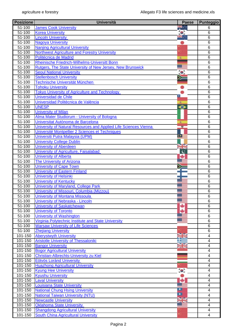| <b>Posizione</b>       | <b>Università</b>                                                 | Paese                   | Punteggio               |
|------------------------|-------------------------------------------------------------------|-------------------------|-------------------------|
| 51-100                 | <b>James Cook University</b>                                      | न्<br>∙                 | 6                       |
| 51-100                 | <b>Korea University</b>                                           | $\mathbf{R}$            | 6                       |
| 51-100                 | <b>Lincoln University</b>                                         |                         | 6                       |
| 51-100                 | <b>Nagoya University</b>                                          |                         | 6                       |
| 51-100                 | <b>Nanjing Agricultural University</b>                            |                         | 6                       |
| $51 - 100$             | <b>Northwest Agriculture and Forestry University</b>              |                         | $\overline{6}$          |
| $51 - 100$             | Politécnica de Madrid                                             | 溪                       | 6                       |
| $51 - 100$             | Rheinische Friedrich-Wilhelms-Universitt Bonn                     |                         | 6                       |
| 51-100                 | <b>Rutgers, The State University of New Jersey, New Brunswick</b> |                         | $\overline{6}$          |
| 51-100                 | <b>Seoul National University</b>                                  |                         | $\overline{6}$          |
| 51-100                 | <b>Stellenbosch University</b>                                    |                         | 6                       |
| 51-100                 | Technische Universität München                                    |                         | $\,6$                   |
| 51-100                 | <b>Tohoku University</b>                                          |                         | $\,6$                   |
| 51-100                 | <b>Tokyo University of Agriculture and Technology</b>             |                         | 6                       |
| 51-100                 | Universidad de Chile                                              |                         | 6                       |
| 51-100                 | Universidad Politècnica de València                               |                         | 6                       |
| $51 - 100$             | <b>UNESP</b>                                                      | $\hat{\bullet}$         | $\overline{6}$          |
| 51-100                 | <b>University of Milan</b>                                        |                         | $6\phantom{1}6$         |
| 51-100                 | Alma Mater Studiorum - University of Bologna                      |                         | $\overline{6}$          |
| $51 - 100$             | Universitat Autònoma de Barcelona                                 | 変                       | $\overline{6}$          |
| 51-100                 | University of Natural Resources and Applied Life Sciences Vienna  | 18                      | $\overline{6}$          |
| 51-100                 | Université Montpellier 2 Sciences et Techniques                   |                         | $\overline{6}$          |
| $51 - 100$             | Universiti Putra Malaysia (UPM)                                   | $\bullet$               | $\overline{6}$          |
| 51-100                 | <b>University College Dublin</b>                                  |                         | 6                       |
| 51-100                 | <b>University of Aberdeen</b>                                     | <u>sk</u>               | $\,6$                   |
| 51-100                 | University of Agriculture, Faisalabad                             | $\overline{\mathbf{z}}$ | 6                       |
| 51-100                 | <b>University of Alberta</b>                                      | $\mathbf c$<br>÷        |                         |
| $51 - 100$             |                                                                   |                         | 6                       |
|                        | <b>The University of Arizona</b>                                  |                         | 6                       |
| 51-100                 | <b>University of Cape Town</b>                                    |                         | 6                       |
| 51-100                 | <b>University of Eastern Finland</b>                              |                         | 6                       |
| $51 - 100$             | <b>University of Helsinki</b>                                     |                         | $\overline{6}$          |
| 51-100                 | <b>University of Kentucky</b>                                     |                         | 6                       |
| 51-100                 | University of Maryland, College Park                              |                         | 6                       |
| 51-100                 | University of Missouri, Columbia (Mizzou)                         |                         | 6                       |
| 51-100                 | <b>University of Montana Missoula</b>                             |                         | $\overline{6}$          |
| 51-100                 | University of Nebraska - Lincoln                                  |                         | 6                       |
| 51-100                 | <b>University of Saskatchewan</b>                                 |                         | $6\phantom{1}6$         |
| 51-100                 | <b>University of Toronto</b>                                      | ۰                       | 6                       |
| 51-100                 | <b>University of Washington</b>                                   |                         | 6                       |
| 51-100                 | Virginia Polytechnic Institute and State University               |                         | 6                       |
| $51 - 100$             | <b>Warsaw University of Life Sciences</b>                         |                         | 6                       |
| $51 - 100$             | <b>Zhejiang University</b>                                        |                         | $\overline{6}$          |
| 101-150                | <b>Aberystwyth University</b>                                     |                         | $\overline{\mathbf{4}}$ |
| 101-150                | <b>Aristotle University of Thessaloniki</b>                       | - 2                     | $\overline{4}$          |
| 101-150                | <b>Bangor University</b>                                          | NK                      | $\overline{4}$          |
| 101-150                | <b>Bogor Agricultural University</b>                              |                         | $\overline{\mathbf{4}}$ |
| 101-150                | <b>Christian-Albrechts-University zu Kiel</b>                     |                         | $\overline{4}$          |
| 101-150                | <b>Eötvös Lorànd University</b>                                   |                         | $\overline{\mathbf{4}}$ |
| 101-150                | <b>Huazhong Agricultural University</b>                           |                         | 4                       |
| 101-150                | <b>Kyung Hee University</b>                                       | $\bullet$               | $\overline{4}$          |
| $\overline{101} - 150$ | <b>Kyushu University</b>                                          |                         | $\overline{\mathbf{4}}$ |
| 101-150                | <b>Laval University</b>                                           | ÷                       | $\overline{\mathbf{4}}$ |
| 101-150                | <b>Louisiana State University</b>                                 |                         | $\overline{\mathbf{4}}$ |
| 101-150                | <b>National Chung Hsing University</b>                            | ▫                       | $\overline{\mathbf{4}}$ |
| 101-150                | <b>National Taiwan University (NTU)</b>                           | $\blacksquare$          | $\overline{\mathbf{4}}$ |
| 101-150                | <b>Newcastle University</b>                                       | VZ<br>$\sim$            | $\overline{4}$          |
| 101-150                | <b>Oklahoma State University</b>                                  |                         | $\overline{\mathbf{4}}$ |
| 101-150                | <b>Shangdong Agricultural University</b>                          |                         | $\overline{\mathbf{4}}$ |
| 101-150                | South China Agricultural University                               |                         | 4                       |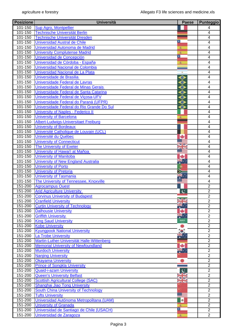| <b>Posizione</b>   | <b>Università</b>                                                   | <b>Paese</b>                 | Punteggio                          |
|--------------------|---------------------------------------------------------------------|------------------------------|------------------------------------|
| 101-150            | <b>Sup Agro, Montpellier</b>                                        |                              | 4                                  |
| 101-150            | <b>Technische Universität Berlin</b>                                |                              | $\overline{4}$                     |
| 101-150            | Technische Universität Dresden                                      |                              | 4                                  |
| 101-150            | <b>Universidad Austral de Chile</b>                                 | ٠.                           | $\overline{\mathbf{4}}$            |
| 101-150            | Universidad Autonoma de Madrid                                      | 浚                            | $\overline{\mathbf{4}}$            |
| 101-150            | <b>University Complutense Madrid</b>                                | 渝                            | $\overline{4}$                     |
| 101-150            | Universidad de Concepción                                           | Ι                            | $\overline{4}$                     |
| 101-150            | Universidad de Córdoba - España                                     | 変                            | 4                                  |
| 101-150            | Universidad Nacional de Colombia                                    |                              | 4                                  |
| 101-150            | Universidad Nacional de La Plata                                    | $\qquad \qquad \blacksquare$ | $\overline{4}$                     |
| 101-150            | Universidade de Brasilia                                            | $\bullet$                    | $\overline{\mathbf{4}}$            |
| 101-150            | Universidade Federal de Lavras                                      | ⊖                            | $\overline{\mathbf{4}}$            |
| 101-150            | Universidade Federal de Minas Gerais                                | ⊖                            | $\overline{4}$                     |
| 101-150            | Universidade Federal de Santa Catarina                              | $\bullet$                    | 4                                  |
| 101-150            | Universidade Federal de Vicosa-UFV                                  | $\bullet$                    | $\overline{\mathbf{4}}$            |
| 101-150            | Universidade Federal do Paraná (UFPR)                               | $\bullet$                    | $\overline{4}$                     |
| 101-150            | Universidade Federal do Rio Grande Do Sul                           | ◒                            | $\overline{4}$                     |
| 101-150            | <b>University of Naples - Federico II</b>                           |                              | $\overline{\mathbf{4}}$            |
| 101-150            | <b>University of Barcelona</b>                                      | 変                            | 4                                  |
| 101-150            | Albert-Ludwigs-Universitaet Freiburg                                |                              | 4                                  |
| 101-150            | <b>University of Bordeaux</b>                                       |                              | 4                                  |
| $101 - 150$        | Université Catholique de Louvain (UCL)                              |                              | 4                                  |
| 101-150            | Université du Québec                                                | ÷                            | 4                                  |
| 101-150            | <b>University of Connecticut</b>                                    |                              | $\overline{4}$                     |
| 101-150            | The University of Exeter                                            | VR                           | 4                                  |
| 101-150            | University of Hawai'i at Mañoa                                      |                              | 4                                  |
| 101-150            | <b>University of Manitoba</b>                                       | ٠                            | $\overline{\mathbf{4}}$            |
| 101-150            | University of New England Australia                                 |                              | 4                                  |
| 101-150            | <b>University of Porto</b>                                          | o                            | $\overline{4}$                     |
| 101-150            | <b>University of Pretoria</b>                                       |                              | $\overline{\mathbf{4}}$            |
| 101-150            | <b>University of Tasmania</b>                                       |                              | $\overline{4}$                     |
| 101-150            | The University of Tennessee, Knoxville                              |                              | $\overline{\mathbf{4}}$            |
| 151-200            | <b>Agrocampus Ouest</b>                                             |                              | $\overline{2}$                     |
| 151-200            | <b>Arid Agriculture University</b>                                  | $\mathbf c$                  | $\overline{2}$                     |
| 151-200            | <b>Corvinus University of Budapest</b>                              |                              | $\overline{2}$                     |
| 151-200            | <b>Cranfield University</b>                                         |                              | $\overline{2}$                     |
| 151-200            | <b>Curtin University of Technology</b>                              |                              | $\overline{2}$                     |
| 151-200            | <b>Dalhousie University</b>                                         | ۰<br>æ.,                     | $\overline{2}$                     |
| 151-200            | <b>Griffith University</b>                                          |                              | $\overline{2}$                     |
| 151-200            | <b>King Saud University</b>                                         |                              | $\overline{2}$                     |
| 151-200            | <b>Kobe University</b>                                              |                              | $\overline{2}$                     |
| 151-200            | <b>Kyungpook National University</b>                                |                              | $\overline{2}$                     |
| 151-200            | <b>La Trobe University</b>                                          | ₩.                           | $\overline{2}$                     |
| 151-200            | Martin-Luther-Universität Halle-Wittenberg                          | ی                            | $\overline{2}$<br>$\overline{2}$   |
| 151-200            | <b>Memorial University of Newfoundland</b>                          |                              |                                    |
| 151-200            | <b>Murdoch University</b>                                           |                              | $\overline{2}$                     |
| $151 - 200$        | <b>Nanjing University</b>                                           |                              | $\overline{2}$<br>$\overline{2}$   |
| 151-200<br>151-200 | <b>Okayama University</b>                                           |                              | $\overline{2}$                     |
|                    | <b>Prince of Songkla University</b>                                 |                              |                                    |
| 151-200            | <b>Quaid-i-azam University</b><br><b>Queen's University Belfast</b> | $\mathbf c$                  | $\boldsymbol{2}$<br>$\overline{2}$ |
| $151 - 200$        |                                                                     |                              | $\overline{2}$                     |
| 151-200            | <b>Scottish Agricultural College (SAC)</b>                          | za ko                        |                                    |
| 151-200            | <b>Shanghai Jiao Tong University</b>                                |                              | $\overline{2}$<br>$\overline{2}$   |
| 151-200            | <b>South China University of Technology</b>                         | 8 –                          | $\overline{2}$                     |
| 151-200            | <b>Tufts University</b>                                             |                              | $\overline{2}$                     |
| 151-200            | Universidad Autónoma Metropolitana (UAM)                            | <b>d</b>                     | $\overline{2}$                     |
| 151-200            | <b>University of Granada</b>                                        | Ι                            |                                    |
| 151-200            | Universidad de Santiago de Chile (USACH)                            |                              | $\boldsymbol{2}$                   |
| 151-200            | Universidad de Zaragoza                                             | 麦                            | $\overline{2}$                     |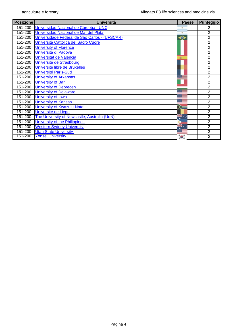| <b>Posizione</b> | <b>Università</b>                             | Paese        | <b>Punteggio</b> |
|------------------|-----------------------------------------------|--------------|------------------|
| 151-200          | Universidad Nacional de Córdoba - UNC         |              | 2                |
| 151-200          | Universidad Nacional de Mar del Plata         |              | $\overline{2}$   |
| 151-200          | Universidade Federal de São Carlos - (UFSCAR) | ⊖            | $\overline{2}$   |
| 151-200          | Università Cattolica del Sacro Cuore          |              | $\overline{2}$   |
| 151-200          | <b>University of Florence</b>                 |              | $\overline{2}$   |
| 151-200          | Università di Padova                          |              | $\overline{2}$   |
| 151-200          | Universitat de Valencia                       |              | $\overline{2}$   |
| 151-200          | Université de Strasbourg                      |              | $\overline{2}$   |
| 151-200          | Universite libre de Bruxelles                 |              | $\overline{2}$   |
| 151-200          | <b>Université Paris-Sud</b>                   |              | 2                |
| 151-200          | <b>University of Arkansas</b>                 |              | 2                |
| 151-200          | <b>University of Bari</b>                     |              | $\overline{2}$   |
| 151-200          | <b>University of Debrecen</b>                 |              | $\overline{2}$   |
| 151-200          | <b>University of Delaware</b>                 |              | $\overline{2}$   |
| 151-200          | <b>University of Iowa</b>                     |              | $\overline{2}$   |
| 151-200          | <b>University of Kansas</b>                   |              | $\overline{2}$   |
| 151-200          | <b>University of Kwazulu-Natal</b>            |              | $\overline{2}$   |
| 151-200          | Université de Liège                           |              | $\overline{2}$   |
| 151-200          | The University of Newcastle, Australia (UoN)  | яĸ.          | $\overline{2}$   |
| 151-200          | University of the Philippines                 |              | $\overline{2}$   |
| 151-200          | <b>Western Sydney University</b>              | <del>개</del> | $\overline{2}$   |
| 151-200          | <b>Utah State University</b>                  |              | $\overline{2}$   |
| 151-200          | <b>Yonsei University</b>                      | $\bullet$    | $\overline{2}$   |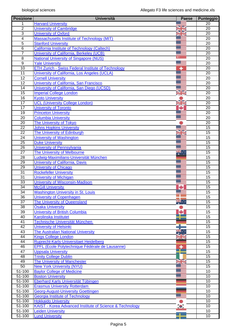| <b>Posizione</b>    | <b>Università</b>                                             | <b>Paese</b>        | <b>Punteggio</b> |
|---------------------|---------------------------------------------------------------|---------------------|------------------|
| 1                   | <b>Harvard University</b>                                     |                     | $\overline{20}$  |
| $\overline{2}$      | <b>University of Cambridge</b>                                | VZ<br>$\sum$        | 20               |
| $\overline{3}$      | <b>University of Oxford</b>                                   |                     | $\overline{20}$  |
| $\overline{4}$      | <b>Massachusetts Institute of Technology (MIT)</b>            |                     | 20               |
| $\overline{5}$      | <b>Stanford University</b>                                    |                     | 20               |
| $\overline{6}$      | California Institute of Technology (Caltech)                  |                     | $\overline{20}$  |
| $\overline{7}$      | University of California, Berkeley (UCB)                      |                     | 20               |
| $\overline{\infty}$ | <b>National University of Singapore (NUS)</b>                 |                     | 20               |
| $\overline{9}$      | <b>Yale University</b>                                        |                     | $\overline{20}$  |
| 10                  | <b>ETH Zurich - Swiss Federal Institute of Technology</b>     | ۰                   | 20               |
| 11                  | University of California, Los Angeles (UCLA)                  |                     | 20               |
| 12                  | <b>Cornell University</b>                                     |                     | 20               |
| $\overline{12}$     | University of California, San Francisco                       |                     | $\overline{20}$  |
| 14                  | University of California, San Diego (UCSD)                    |                     | 20               |
| 15                  | <b>Imperial College London</b>                                | V<br><b>SERVICE</b> | 20               |
| 16                  | <b>Kyoto University</b>                                       |                     | $\overline{20}$  |
| 17                  | <b>UCL (University College London)</b>                        | XX                  | $\overline{20}$  |
| $\overline{17}$     | <b>University of Toronto</b>                                  |                     | 20               |
| $\overline{19}$     | <b>Princeton University</b>                                   |                     | 20               |
| 20                  | <b>Columbia University</b>                                    |                     | $\overline{20}$  |
| 20                  | <b>The University of Tokyo</b>                                |                     | 20               |
| $\overline{22}$     | <b>Johns Hopkins University</b>                               |                     | $\overline{15}$  |
| $\overline{22}$     | The University of Edinburgh                                   |                     | 15               |
| $\overline{24}$     | <b>University of Washington</b>                               |                     | $\overline{15}$  |
| $\overline{25}$     | <b>Duke University</b>                                        |                     | $\overline{15}$  |
| $\overline{26}$     | University of Pennsylvania                                    |                     | 15               |
| $\overline{27}$     | The University of Melbourne                                   | $\frac{1}{2}$       | $\overline{15}$  |
| $\overline{28}$     | Ludwig-Maximilians-Universität München                        |                     | 15               |
| $\overline{29}$     | <b>University of California, Davis</b>                        |                     | $\overline{15}$  |
| 29                  | <b>University of Chicago</b>                                  |                     | $\overline{15}$  |
| $\overline{31}$     | <b>Rockefeller University</b>                                 |                     | 15               |
| $\overline{31}$     | <b>University of Michigan</b>                                 |                     | 15               |
| 33                  | <b>University of Wisconsin-Madison</b>                        |                     | 15               |
| 34                  | <b>McGill University</b>                                      |                     | $\overline{15}$  |
| 34                  | <b>Washington University in St. Louis</b>                     |                     | $\overline{15}$  |
| 36                  | <b>University of Copenhagen</b>                               |                     | 15               |
| $\overline{37}$     | The University of Queensland                                  |                     | 15               |
| $\overline{38}$     | <b>Osaka University</b>                                       |                     | $\overline{15}$  |
| $\overline{39}$     | <b>University of British Columbia</b>                         | ÷                   | 15               |
| 40                  | <b>Karolinska Institutet</b>                                  |                     | 15               |
| $\overline{41}$     | Technische Universität München                                |                     | $\overline{15}$  |
| 42                  | <b>University of Helsinki</b>                                 |                     | $\overline{15}$  |
| 43                  | <b>The Australian National University</b>                     |                     | 15               |
| $\overline{44}$     | <b>Kings College London</b>                                   |                     | 15               |
| $\overline{44}$     | Ruprecht-Karls-Universitaet Heidelberg                        | $\mathbb{Z}$        | 15               |
| 46                  | EPFL (Ecole Polytechnique Fédérale de Lausanne)               | ۰                   | 15               |
| 47                  | <b>Uppsala University</b>                                     |                     | 15               |
| $\overline{48}$     | <b>Trinity College Dublin</b>                                 |                     | $\overline{15}$  |
| 49                  | <b>The University of Manchester</b>                           |                     | $\overline{15}$  |
| 50                  | <b>New York University (NYU)</b>                              |                     | $\overline{15}$  |
| $51 - 100$          |                                                               |                     | 10               |
| 51-100              | <b>Baylor College of Medicine</b><br><b>Boston University</b> |                     | 10               |
|                     |                                                               |                     |                  |
| 51-100              | <b>Eberhard Karls Universität Tübingen</b>                    |                     | 10               |
| 51-100              | <b>Erasmus University Rotterdam</b>                           |                     | 10               |
| 51-100              | <b>Georg-August-University Goettingen</b>                     |                     | 10<br>10         |
| $51 - 100$          | <b>Georgia Institute of Technology</b>                        |                     |                  |
| 51-100              | <b>Hokkaido University</b>                                    |                     | 10               |
| 51-100              | KAIST - Korea Advanced Institute of Science & Technology      | $\bullet$           | 10               |
| 51-100              | <b>Leiden University</b>                                      |                     | $\overline{10}$  |
| 51-100              | <b>Lund University</b>                                        |                     | 10               |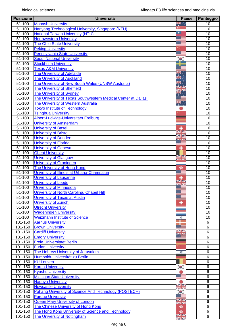| <b>Posizione</b>       | <b>Università</b>                                             | Paese         | <b>Punteggio</b> |
|------------------------|---------------------------------------------------------------|---------------|------------------|
| 51-100                 | <b>Monash University</b>                                      | ≋.∵           | 10               |
| 51-100                 | Nanyang Technological University, Singapore (NTU)             |               | $\overline{10}$  |
| 51-100                 | <b>National Taiwan University (NTU)</b>                       |               | $\overline{10}$  |
| 51-100                 | <b>Northwestern University</b>                                |               | 10               |
| 51-100                 | <b>The Ohio State University</b>                              |               | 10               |
| 51-100                 | <b>Peking University</b>                                      |               | 10               |
| $51 - 100$             | <b>Pennsylvania State University</b>                          |               | 10               |
| $51 - 100$             | <b>Seoul National University</b>                              | $^{\prime}$ o | 10               |
| 51-100                 | <b>Stockholm University</b>                                   |               | 10               |
| 51-100                 | <b>Texas A&amp;M University</b>                               |               | 10               |
| $51 - 100$             | <b>The University of Adelaide</b>                             |               | $\overline{10}$  |
| 51-100                 | <b>The University of Auckland</b>                             |               | 10               |
| 51-100                 | The University of New South Wales (UNSW Australia)            |               | 10               |
| $51 - 100$             | The University of Sheffield                                   |               | $\overline{10}$  |
| $51 - 100$             | <b>The University of Sydney</b>                               |               | $\overline{10}$  |
| 51-100                 | The University of Texas Southwestern Medical Center at Dallas |               | 10               |
| 51-100                 | The University of Western Australia                           |               | 10               |
| 51-100                 | <b>Tokyo Institute of Technology</b>                          |               | $\overline{10}$  |
| 51-100                 | <b>Tsinghua University</b>                                    |               | 10               |
| 51-100                 | Albert-Ludwigs-Universitaet Freiburg                          |               | 10               |
| $51 - 100$             | <b>University of Amsterdam</b>                                |               | 10               |
| $51 - 100$             | <b>University of Basel</b>                                    |               | 10               |
| 51-100                 | <b>University of Bristol</b>                                  |               | 10               |
| 51-100                 | <b>University of Dundee</b>                                   |               | 10               |
| $51 - 100$             | <b>University of Florida</b>                                  |               | $\overline{10}$  |
| $51 - 100$             | <b>University of Geneva</b>                                   | ٠             | $\overline{10}$  |
| 51-100                 | <b>Ghent University</b>                                       |               | $\overline{10}$  |
| $51 - 100$             | <b>University of Glasgow</b>                                  |               | 10               |
| 51-100                 | <b>University of Groningen</b>                                | <b>ZEN</b>    | 10               |
|                        |                                                               |               | 10               |
| 51-100                 | The University of Hong Kong                                   | ×             |                  |
| $\overline{51} - 100$  | University of Illinois at Urbana-Champaign                    |               | 10               |
| $51 - 100$             | <b>University of Lausanne</b>                                 |               | 10               |
| $51 - 100$             | <b>University of Leeds</b>                                    |               | 10               |
| 51-100                 | <b>University of Minnesota</b>                                |               | 10               |
| $51 - 100$             | University of North Carolina, Chapel Hill                     |               | 10               |
| 51-100                 | University of Texas at Austin                                 |               | 10               |
| 51-100                 | <b>University of Zurich</b>                                   | ۰             | 10               |
| 51-100                 | <b>Utrecht University</b>                                     |               | 10               |
| $51 - 100$             | <b>Wageningen University</b>                                  |               | $\overline{10}$  |
| 51-100                 | <b>Weizmann Institute of Science</b>                          | ٠             | 10               |
| 101-150                | <b>Aarhus University</b>                                      |               | $\,6$            |
| 101-150                | <b>Brown University</b>                                       |               | 6                |
| 101-150                | <b>Cardiff University</b>                                     |               | $\,6$            |
| 101-150                | <b>Emory University</b>                                       |               | $\,6$            |
| 101-150                | <b>Freie Universitaet Berlin</b>                              |               | 6                |
| $101 - 150$            | <b>Fudan University</b>                                       |               | 6                |
| $101 - 150$            | The Hebrew University of Jerusalem                            | ₩             | 6                |
| $\overline{101} - 150$ | Humboldt-Universität zu Berlin                                |               | 6                |
| 101-150                | <b>KU Leuven</b>                                              |               | $\overline{6}$   |
| 101-150                | <b>Korea University</b>                                       | $\bullet$     | 6                |
| 101-150                | <b>Kyushu University</b>                                      |               | 6                |
| 101-150                | <b>Michigan State University</b>                              |               | $6\phantom{1}6$  |
| 101-150                | <b>Nagoya University</b>                                      |               | $\,6$            |
| 101-150                | <b>Newcastle University</b>                                   |               | $\,6$            |
| 101-150                | Pohang University of Science And Technology (POSTECH)         |               | $\,6$            |
| 101-150                | <b>Purdue University</b>                                      |               | $\,6$            |
| 101-150                | <b>Queen Mary University of London</b>                        |               | $\,6$            |
| 101-150                | The Chinese University of Hong Kong                           | ÷,            | $6\phantom{1}6$  |
| 101-150                | The Hong Kong University of Science and Technology            | sk.           | $6\phantom{1}6$  |
| 101-150                | The University of Nottingham                                  | ZR.           | 6                |
|                        |                                                               |               |                  |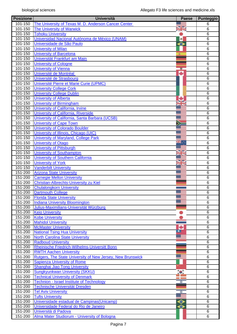| <b>Posizione</b> | <b>Università</b>                                                 | <b>Paese</b> | <b>Punteggio</b> |
|------------------|-------------------------------------------------------------------|--------------|------------------|
| 101-150          | The University of Texas M. D. Anderson Cancer Center              |              | 6                |
| 101-150          | <b>The University of Warwick</b>                                  | VØ           | $6\phantom{1}6$  |
| $101 - 150$      | <b>Tohoku University</b>                                          |              | 6                |
| 101-150          | Universidad Nacional Autónoma de México (UNAM)                    | <b>a</b>     | 6                |
| 101-150          | Universidade de São Paulo                                         | ◒            | 6                |
| 101-150          | <b>University of Milan</b>                                        |              | 6                |
| 101-150          | <b>University of Barcelona</b>                                    | 渝            | 6                |
| 101-150          | Universität Frankfurt am Main                                     |              | $\overline{6}$   |
| 101-150          | <b>University of Cologne</b>                                      |              | $6\phantom{1}6$  |
| 101-150          | <b>University of Vienna</b>                                       | 15           | $6\phantom{1}6$  |
| 101-150          | Université de Montréal                                            | ىك           | $\overline{6}$   |
| 101-150          | Université de Strasbourg                                          |              | $\,6$            |
| 101-150          | Université Pierre et Marie Curie (UPMC)                           |              | $\,6$            |
| 101-150          | <b>University College Cork</b>                                    |              | $\overline{6}$   |
| 101-150          | <b>University College Dublin</b>                                  |              | 6                |
| 101-150          | <b>University of Alberta</b>                                      | ÷            | 6                |
| 101-150          | <b>University of Birmingham</b>                                   | JE           | 6                |
| 101-150          | University of California, Irvine                                  |              | 6                |
| 101-150          | University of California, Riverside                               |              | $6\phantom{1}6$  |
| 101-150          | University of California, Santa Barbara (UCSB)                    |              | $6\phantom{1}6$  |
| $101 - 150$      | <b>University of Cape Town</b>                                    |              | $\overline{6}$   |
| 101-150          | <b>University of Colorado Boulder</b>                             |              | $\overline{6}$   |
| 101-150          | University of Illinois, Chicago (UIC)                             |              | $6\phantom{1}6$  |
| 101-150          | <b>University of Maryland, College Park</b>                       |              | $\,6$            |
| $101 - 150$      | <b>University of Otago</b>                                        | ang .<br>Ang | $\overline{6}$   |
| 101-150          | <b>University of Pittsburgh</b>                                   |              | $\,6$            |
| 101-150          | <b>University of Southampton</b>                                  | VZ           | $\,6$            |
| 101-150          | University of Southern California                                 |              | $\overline{6}$   |
| 101-150          | <b>University of York</b>                                         | V            | 6                |
| 101-150          | <b>Vanderbilt University</b>                                      |              | 6                |
| 151-200          | <b>Arizona State University</b>                                   |              | $6\phantom{1}6$  |
| 151-200          | <b>Carnegie Mellon University</b>                                 |              | 6                |
| 151-200          | Christian-Albrechts-University zu Kiel                            |              | 6                |
| 151-200          | <b>Chulalongkorn University</b>                                   |              | $6\phantom{1}6$  |
| 151-200          | <b>Dartmouth College</b>                                          |              | $\overline{6}$   |
| 151-200          | <b>Florida State University</b>                                   |              | $\,6$            |
| 151-200          | <b>Indiana University Bloomington</b>                             |              | 6                |
| 151-200          | Julius-Maximilians-Universität Würzburg                           |              | 6                |
| $151 - 200$      | <b>Keio University</b>                                            |              | 6                |
| 151-200          | <b>Kobe University</b>                                            |              | 6                |
| $151 - 200$      | <b>Mahidol University</b>                                         |              | $\,6$            |
| $151 - 200$      | <b>McMaster University</b>                                        | ÷            | 6                |
| 151-200          | <b>National Tsing Hua University</b>                              |              | $\overline{6}$   |
| 151-200          | <b>North Carolina State University</b>                            |              | 6                |
| 151-200          | <b>Radboud University</b>                                         |              | 6                |
| 151-200          | Rheinische Friedrich-Wilhelms-Universitt Bonn                     |              | 6                |
| 151-200          | <b>RWTH Aachen University</b>                                     |              | $\overline{6}$   |
| 151-200          | <b>Rutgers, The State University of New Jersey, New Brunswick</b> |              | $\,6$            |
| 151-200          | <b>Sapienza University of Rome</b>                                |              | $\overline{6}$   |
| 151-200          | Shanghai Jiao Tong University                                     |              | $\overline{6}$   |
| 151-200          | <b>Sungkyunkwan University (SKKU)</b>                             | $\bullet$    | 6                |
| $151 - 200$      | <b>Technical University of Denmark</b>                            |              | 6                |
| 151-200          | <b>Technion - Israel Institute of Technology</b>                  | and the<br>₩ | $\overline{6}$   |
| 151-200          | Technische Universität Dresden                                    |              | 6                |
| 151-200          | <b>Tel Aviv University</b>                                        | ₫            | 6                |
| 151-200          | <b>Tufts University</b>                                           |              | $\overline{6}$   |
| 151-200          | Universidade estadual de Campinas (Unicamp)                       | $\bullet$    | 6                |
| 151-200          | Universidade Federal do Rio de Janeiro                            | ⊖            | 6                |
| 151-200          | Università di Padova                                              |              | 6                |
| 151-200          | Alma Mater Studiorum - University of Bologna                      |              | $\overline{6}$   |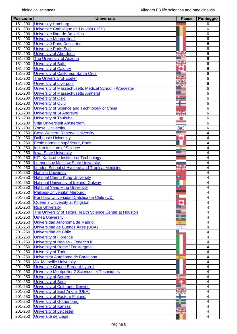| <b>Posizione</b>       | <b>Università</b>                                        | <b>Paese</b> | Punteggio               |
|------------------------|----------------------------------------------------------|--------------|-------------------------|
| 151-200                | <b>University Hamburg</b>                                |              | 6                       |
| 151-200                | Université Catholique de Louvain (UCL)                   |              | $6\phantom{1}6$         |
| 151-200                | Universite libre de Bruxelles                            |              | $6\phantom{1}6$         |
| 151-200                | <b>Université Montpellier 1</b>                          |              | $\overline{6}$          |
| 151-200                | <b>Université Paris Descartes</b>                        |              | 6                       |
| $\overline{151} - 200$ | <b>Université Paris-Sud</b>                              |              | $6\phantom{1}6$         |
| $151 - 200$            | <b>University of Aberdeen</b>                            |              | 6                       |
| $151 - 200$            | <b>The University of Arizona</b>                         |              | $\overline{6}$          |
| 151-200                | <b>University of Bath</b>                                | XX           | 6                       |
| $151 - 200$            | <b>University of Calgary</b>                             | ÷            | 6                       |
| 151-200                | University of California, Santa Cruz                     |              | $\overline{6}$          |
| 151-200                | <b>The University of Exeter</b>                          | VØ           | 6                       |
| 151-200                | <b>University of Liverpool</b>                           | ⋖⋗           | $6\phantom{1}6$         |
| 151-200                | University of Massachusetts Medical School - Worcester   |              | $\overline{6}$          |
| 151-200                | University of Massachusetts Amherst                      |              | 6                       |
| 151-200                | <b>University of Oslo</b>                                |              | $6\phantom{1}6$         |
| 151-200                | <b>University of Oulu</b>                                |              | 6                       |
| 151-200                | University of Science and Technology of China            |              | 6                       |
| $151 - 200$            | <b>University of St Andrews</b>                          |              | $6\phantom{1}6$         |
| $151 - 200$            | <b>University of Tsukuba</b>                             |              | 6                       |
| 151-200                | Vrije Universiteit Amsterdam                             |              | $\overline{6}$          |
|                        |                                                          |              | $\overline{6}$          |
| 151-200                | <b>Yonsei University</b>                                 | ÷.           |                         |
| 201-250                | <b>Case Western Reserve University</b>                   |              | $\overline{\mathbf{4}}$ |
| 201-250                | <b>Dalhousie University</b>                              | ٠            | $\overline{\mathbf{4}}$ |
| 201-250                | Ecole normale supérieure, Paris                          |              | $\overline{4}$          |
| 201-250                | <b>Indian Institute of Science</b>                       |              | 4                       |
| 201-250                | <b>Iowa State University</b>                             |              | $\overline{4}$          |
| 201-250                | <b>KIT, Karlsruhe Institute of Technology</b>            |              | $\overline{4}$          |
| 201-250                | <b>Lomonosov Moscow State University</b>                 | NØ           | 4                       |
| 201-250                | London School of Hygiene and Tropical Medicine           | <b>ZE NS</b> | $\overline{4}$          |
| 201-250                | <b>Nanjing University</b>                                | ×            | 4                       |
| $201 - 250$            | <b>National Cheng Kung University</b>                    |              | 4                       |
| 201-250                | National University of Ireland, Galway                   |              | 4                       |
| 201-250                | <b>National Yang Ming University</b>                     | ∙            | 4                       |
| 201-250                | Philipps-Universität Marburg                             |              | 4                       |
| 201-250                | Pontificia Universidad Católica de Chile (UC)            | E.           | 4                       |
| 201-250                | Queen's University at Kingston                           | ٠            | 4                       |
| 201-250                | <b>Rice University</b>                                   |              | 4                       |
| 201-250                | The University of Texas Health Science Center at Houston |              | 4                       |
| 201-250                | <b>Umea University</b>                                   | a se         | 4                       |
| 201-250                | Universidad Autonoma de Madrid                           | 浚            | 4                       |
| 201-250                | Universidad de Buenos Aires (UBA)                        | ×            | 4                       |
| 201-250                | Universidad de Chile                                     | 2            | 4                       |
| 201-250                | <b>University of Florence</b>                            |              | 4                       |
| 201-250                | <b>University of Naples - Federico II</b>                |              | 4                       |
| 201-250                | University of Rome "Tor Vergata"                         |              | 4                       |
| 201-250                | <b>University of Turin</b>                               |              | 4                       |
| 201-250                | Universitat Autònoma de Barcelona                        |              | 4                       |
| 201-250                | <b>Aix-Marseille University</b>                          |              | 4                       |
| 201-250                | Université Claude Bernard Lyon 1                         |              | 4                       |
| 201-250                | Université Montpellier 2 Sciences et Techniques          |              | 4                       |
| 201-250                | <b>University of Bergen</b>                              |              | 4                       |
| 201-250                | <b>University of Bern</b>                                |              | 4                       |
| 201-250                | <b>University of Colorado, Denver</b>                    |              | 4                       |
| 201-250                | University of East Anglia (UEA)                          |              | 4                       |
| 201-250                | <b>University of Eastern Finland</b>                     |              | 4                       |
| 201-250                | <b>University of Gothenburg</b>                          |              | 4                       |
| 201-250                | <b>University of Kansas</b>                              |              | 4                       |
| $201 - 250$            | <b>University of Leicester</b>                           | V            | 4                       |
| 201-250                | Université de Liège                                      |              | 4                       |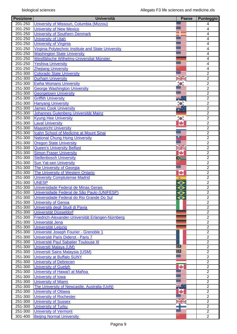| <b>Posizione</b> | <b>Università</b>                                             | <b>Paese</b>    | <b>Punteggio</b>                 |
|------------------|---------------------------------------------------------------|-----------------|----------------------------------|
| 201-250          | University of Missouri, Columbia (Mizzou)                     |                 | 4                                |
| 201-250          | <b>University of New Mexico</b>                               |                 | 4                                |
| 201-250          | <b>University of Southern Denmark</b>                         |                 | 4                                |
| 201-250          | <b>University of Utah</b>                                     |                 | $\overline{4}$                   |
| 201-250          | <b>University of Virginia</b>                                 |                 | 4                                |
| $201 - 250$      | Virginia Polytechnic Institute and State University           |                 | $\overline{4}$                   |
| 201-250          | <b>Washington State University</b>                            |                 | $\overline{4}$                   |
| 201-250          | Westfälische Wilhelms-Universitat Münster                     |                 | $\overline{4}$                   |
| 201-250          | <b>Yeshiva University</b>                                     |                 | 4                                |
| 201-250          | <b>Zhejiang University</b>                                    |                 | $\overline{4}$                   |
| 251-300          | <b>Colorado State University</b>                              |                 | 2                                |
| 251-300          | <b>Durham University</b>                                      | <b>SALE</b>     | $\sqrt{2}$                       |
| 251-300          | <b>Ewha Womans University</b>                                 |                 | $\overline{2}$                   |
| 251-300          | <b>George Washington University</b>                           |                 | $\overline{2}$                   |
| 251-300          | <b>Georgetown University</b>                                  |                 | $\overline{2}$                   |
| 251-300          | <b>Griffith University</b>                                    |                 | $\overline{2}$                   |
| 251-300          | <b>Hanyang University</b>                                     | $\bullet$       | $\overline{2}$                   |
| 251-300          | <b>James Cook University</b>                                  | ÷.              | $\overline{2}$                   |
| 251-300          | Johannes Gutenberg Universität Mainz                          |                 | $\overline{2}$                   |
| 251-300          | <b>Kyung Hee University</b>                                   | $\bullet$       | $\overline{2}$                   |
| 251-300          | <b>Laval University</b>                                       | ÷               | $\overline{2}$                   |
| 251-300          | <b>Maastricht University</b>                                  |                 | $\overline{2}$                   |
| 251-300          | <b>Icahn School of Medicine at Mount Sinai</b>                |                 | $\overline{2}$                   |
| 251-300          | <b>National Chung Hsing University</b>                        |                 | $\overline{2}$                   |
| 251-300          | <b>Oregon State University</b>                                |                 | $\overline{2}$                   |
| $251 - 300$      | <b>Queen's University Belfast</b>                             | V               | $\overline{2}$                   |
| $251 - 300$      | <b>Simon Fraser University</b>                                | a Isl           | $\overline{2}$                   |
| 251-300          | <b>Stellenbosch University</b>                                |                 | $\overline{2}$                   |
| $251 - 300$      | <b>Sun Yat-sen University</b>                                 |                 | $\overline{2}$                   |
| 251-300          | <b>The University of Georgia</b>                              |                 | $\overline{2}$                   |
| 251-300          | The University of Western Ontario                             | ÷               | $\overline{2}$                   |
| 251-300          | <b>University Complutense Madrid</b>                          |                 | $\overline{2}$                   |
| 251-300          | <b>UNESP</b>                                                  | ×.<br>$\bullet$ | $\overline{2}$                   |
| 251-300          | Universidade Federal de Minas Gerais                          |                 | $\overline{2}$                   |
| 251-300          | Universidade Federal de São Paulo (UNIFESP)                   | $\bullet$<br>⊖  | $\overline{2}$                   |
| 251-300          | Universidade Federal do Rio Grande Do Sul                     |                 | $\overline{2}$                   |
| 251-300          |                                                               | ◆               |                                  |
|                  | <b>University of Genoa</b><br>Università degli Studi di Pavia |                 | $\overline{2}$<br>$\overline{2}$ |
| 251-300          |                                                               |                 |                                  |
| 251-300          | Universität Düsseldorf                                        |                 | $\overline{2}$                   |
| 251-300          | Friedrich-Alexander-Universität Erlangen-Nürnberg             |                 | $\overline{2}$                   |
| 251-300          | Universität Jena                                              |                 | $\overline{2}$                   |
| 251-300          | Universität Leipzig                                           |                 | $\overline{2}$                   |
| 251-300          | Université Joseph Fourier - Grenoble 1                        |                 | $\overline{2}$                   |
| 251-300          | Université Paris Diderot - Paris 7                            |                 | $\overline{2}$                   |
| $251 - 300$      | Université Paul Sabatier Toulouse III                         | $\bullet =$     | $\overline{2}$                   |
| 251-300          | Universiti Malaya (UM)                                        | $\bullet$       | $\overline{2}$                   |
| 251-300          | Universiti Sains Malaysia (USM)                               |                 | $\overline{2}$                   |
| 251-300          | <b>University at Buffalo SUNY</b>                             |                 | $\overline{2}$                   |
| 251-300          | <b>University of Debrecen</b>                                 |                 | $\overline{2}$                   |
| 251-300          | <b>University of Guelph</b>                                   | ٠               | $\overline{2}$                   |
| 251-300          | University of Hawai'i at Mañoa                                |                 | $\overline{2}$                   |
| 251-300          | <b>University of Iowa</b>                                     |                 | $\overline{2}$                   |
| 251-300          | <b>University of Miami</b>                                    |                 | $\overline{2}$                   |
| 251-300          | The University of Newcastle, Australia (UoN)                  | ₩               | $\overline{2}$                   |
| 251-300          | <b>University of Ottawa</b>                                   | ÷               | $\overline{2}$                   |
| 251-300          | <b>University of Rochester</b>                                |                 | $\overline{2}$                   |
| 251-300          | <b>University of Sussex</b>                                   |                 | $\overline{2}$                   |
| 251-300          | <b>University of Turku</b>                                    |                 | $\overline{2}$                   |
| 251-300          | <b>University of Vermont</b>                                  |                 | $\overline{2}$                   |
| 301-400          | <b>Beijing Normal University</b>                              |                 | $\overline{2}$                   |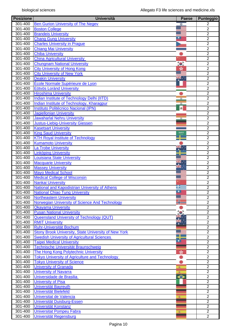| <b>Posizione</b> | <b>Università</b>                                     | <b>Paese</b> | Punteggio      |
|------------------|-------------------------------------------------------|--------------|----------------|
| 301-400          | <b>Ben Gurion University of The Negev</b>             | ₩            | $\overline{2}$ |
| $301 - 400$      | <b>Boston College</b>                                 |              | $\overline{2}$ |
| 301-400          | <b>Brandeis University</b>                            |              | $\overline{2}$ |
| 301-400          | <b>Chang Gung University</b>                          | ▫            | $\overline{2}$ |
| 301-400          | <b>Charles University in Prague</b>                   |              | $\overline{2}$ |
| 301-400          | <b>Chiang Mai University</b>                          |              | $\overline{2}$ |
| 301-400          | <b>Chiba University</b>                               |              | $\overline{2}$ |
| 301-400          | <b>China Agricultural University</b>                  |              | $\overline{2}$ |
| 301-400          | <b>Chungnam National University</b>                   | $\bullet$    | $\overline{2}$ |
| 301-400          | <b>City University of Hong Kong</b>                   |              | $\overline{2}$ |
| 301-400          |                                                       | ÷.           | $\overline{2}$ |
|                  | <b>City University of New York</b>                    |              |                |
| 301-400          | <b>Deakin University</b>                              | ₩            | $\overline{2}$ |
| 301-400          | École Normale Supérieure de Lyon                      |              | $\overline{2}$ |
| $301 - 400$      | <b>Eötvös Lorànd University</b>                       |              | $\overline{2}$ |
| 301-400          | <b>Hiroshima University</b>                           |              | $\overline{2}$ |
| 301-400          | <b>Indian Institute of Technology Delhi (IITD)</b>    | $\circ$      | $\overline{2}$ |
| 301-400          | Indian Institute of Technology, Kharagpur             | $\circ$      | $\overline{2}$ |
| 301-400          | Instituto Politécnico Nacional (IPN)                  | <b>a</b>     | $\overline{2}$ |
| 301-400          | <b>Jagiellonian University</b>                        |              | $\overline{2}$ |
| 301-400          | <b>Jawaharlal Nehru University</b>                    | $\circ$      | $\overline{2}$ |
| 301-400          | <b>Justus-Liebig-University Giessen</b>               |              | $\overline{2}$ |
| 301-400          | <b>Kasetsart University</b>                           |              | $\overline{2}$ |
| 301-400          | <b>King Saud University</b>                           | 5,935        | $\overline{2}$ |
| 301-400          | <b>KTH Royal Institute of Technology</b>              |              | $\overline{2}$ |
| 301-400          | <b>Kumamoto University</b>                            |              | $\overline{2}$ |
| 301-400          | La Trobe University                                   | ĸ.           | $\overline{2}$ |
| 301-400          | <b>Linköping University</b>                           |              | $\overline{2}$ |
| 301-400          | <b>Louisiana State University</b>                     |              | $\overline{2}$ |
| 301-400          | <b>Macquarie University</b>                           |              | $\overline{2}$ |
| 301-400          | <b>Massey University</b>                              | ñÆ.          | $\overline{2}$ |
| 301-400          | <b>Mayo Medical School</b>                            |              | 2              |
| 301-400          | <b>Medical College of Wisconsin</b>                   |              | $\overline{2}$ |
| 301-400          | <b>Nankai University</b>                              |              | $\overline{2}$ |
| 301-400          | <b>National and Kapodistrian University of Athens</b> | æ            | $\overline{2}$ |
| 301-400          | <b>National Chiao Tung University</b>                 | ∙            | $\overline{2}$ |
| 301-400          |                                                       |              |                |
|                  | <b>Northeastern University</b>                        |              | $\overline{2}$ |
| 301-400          | Norwegian University of Science And Technology        |              | $\overline{2}$ |
| 301-400          | <b>Okayama University</b>                             |              | $\overline{2}$ |
| 301-400          | <b>Pusan National University</b>                      |              | $\overline{2}$ |
| 301-400          | Queensland University of Technology (QUT)             |              | $\overline{2}$ |
| 301-400          | <b>RMIT University</b>                                |              | $\overline{2}$ |
| 301-400          | <b>Ruhr-Universität Bochum</b>                        |              | $\overline{2}$ |
| 301-400          | Stony Brook University, State University of New York  |              | $\overline{2}$ |
| 301-400          | <b>Swedish University of Agricultural Sciences</b>    |              | $\overline{2}$ |
| 301-400          | <b>Taipei Medical University</b>                      | ā            | $\overline{2}$ |
| 301-400          | Technische Universität Braunschweig                   |              | $\overline{2}$ |
| 301-400          | The Hong Kong Polytechnic University                  | Y.           | $\overline{2}$ |
| 301-400          | <b>Tokyo University of Agriculture and Technology</b> |              | $\overline{2}$ |
| 301-400          | <b>Tokyo University of Science</b>                    |              | $\overline{2}$ |
| 301-400          | <b>University of Granada</b>                          | 変            | $\overline{2}$ |
| 301-400          | <b>University of Navarra</b>                          | 麦            | $\overline{2}$ |
| 301-400          | Universidade de Brasilia                              | ◆            | $\overline{2}$ |
| 301-400          | <b>University of Pisa</b>                             |              | $\overline{2}$ |
| 301-400          | <b>Universität Bayreuth</b>                           |              | $\overline{2}$ |
| 301-400          | Universität Bielefeld                                 |              | $\overline{2}$ |
| 301-400          | Universitat de Valencia                               |              | $\overline{2}$ |
| 301-400          |                                                       | 変            | $\overline{2}$ |
|                  | Universität Duisburg-Essen                            |              |                |
| 301-400          | Universität Konstanz                                  |              | $\overline{2}$ |
| 301-400          | <b>Universitat Pompeu Fabra</b>                       | 浚            | $\overline{2}$ |
| 301-400          | Universität Regensburg                                |              | $\overline{2}$ |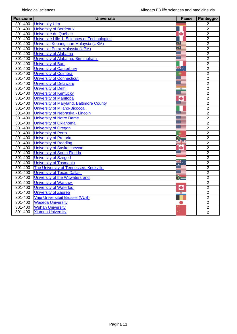| <b>Posizione</b> | <b>Università</b>                            | <b>Paese</b> | Punteggio      |
|------------------|----------------------------------------------|--------------|----------------|
| 301-400          | <b>University Ulm</b>                        |              | 2              |
| 301-400          | <b>University of Bordeaux</b>                |              | $\overline{2}$ |
| $301 - 400$      | Université du Québec                         | ÷            | $\overline{2}$ |
| 301-400          | Université Lille 1, Sciences et Technologies |              | $\overline{2}$ |
| 301-400          | Universiti Kebangsaan Malaysia (UKM)         | $\bullet$    | $\overline{2}$ |
| 301-400          | Universiti Putra Malaysia (UPM)              | $\bullet$ :  | $\overline{2}$ |
| 301-400          | <b>University of Alabama</b>                 |              | $\overline{2}$ |
| 301-400          | University of Alabama, Birmingham            |              | $\overline{2}$ |
| 301-400          | <b>University of Bari</b>                    |              | $\overline{2}$ |
| 301-400          | <b>University of Canterbury</b>              | ਸ¥.          | $\overline{2}$ |
| 301-400          | <b>University of Coimbra</b>                 | ۰            | $\overline{2}$ |
| 301-400          | <b>University of Connecticut</b>             |              | $\overline{2}$ |
| 301-400          | <b>University of Delaware</b>                |              | $\overline{2}$ |
| 301-400          | <b>University of Delhi</b>                   |              | $\overline{2}$ |
| 301-400          | <b>University of Kentucky</b>                |              | $\overline{2}$ |
| 301-400          | <b>University of Manitoba</b>                | ٠            | $\overline{2}$ |
| 301-400          | University of Maryland, Baltimore County     |              | $\overline{2}$ |
| 301-400          | <b>University of Milano-Bicocca</b>          |              | $\overline{2}$ |
| 301-400          | University of Nebraska - Lincoln             |              | $\overline{2}$ |
| 301-400          | <b>University of Notre Dame</b>              |              | $\overline{2}$ |
| 301-400          | <b>University of Oklahoma</b>                |              | $\overline{2}$ |
| 301-400          | <b>University of Oregon</b>                  |              | $\overline{2}$ |
| 301-400          | <b>University of Porto</b>                   | Ф            | $\overline{2}$ |
| 301-400          | <b>University of Pretoria</b>                |              | $\overline{2}$ |
| 301-400          | <b>University of Reading</b>                 | a K          | $\overline{2}$ |
| 301-400          | <b>University of Saskatchewan</b>            |              | $\overline{2}$ |
| 301-400          | <b>University of South Florida</b>           |              | $\overline{2}$ |
| 301-400          | <b>University of Szeged</b>                  |              | $\overline{2}$ |
| 301-400          | <b>University of Tasmania</b>                |              | $\overline{2}$ |
| 301-400          | The University of Tennessee, Knoxville       |              | $\overline{2}$ |
| 301-400          | <b>University of Texas Dallas</b>            |              | $\overline{2}$ |
| 301-400          | University of the Witwatersrand              |              | $\overline{2}$ |
| 301-400          | <b>University of Warsaw</b>                  |              | $\overline{2}$ |
| $301 - 400$      | <b>University of Waterloo</b>                |              | $\overline{2}$ |
| 301-400          | <b>University of Zagreb</b>                  |              | $\overline{2}$ |
| 301-400          | <b>Vrije Universiteit Brussel (VUB)</b>      |              | $\overline{2}$ |
| 301-400          | <b>Waseda University</b>                     |              | $\overline{2}$ |
| 301-400          | <b>Wuhan University</b>                      |              | $\overline{2}$ |
| 301-400          | <b>Xiamen University</b>                     |              | $\overline{2}$ |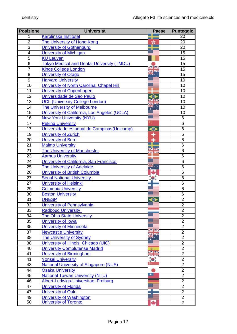| <b>Posizione</b> | <b>Università</b>                                             | <b>Paese</b> | <b>Punteggio</b> |
|------------------|---------------------------------------------------------------|--------------|------------------|
| 1                | <b>Karolinska Institutet</b>                                  |              | 20               |
| $\overline{2}$   | The University of Hong Kong                                   |              | 20               |
| $\overline{3}$   | <b>University of Gothenburg</b>                               |              | 20               |
| 4                | <b>University of Michigan</b>                                 |              | 15               |
| $\overline{5}$   | <b>KU Leuven</b>                                              |              | 15               |
| $\overline{6}$   | <b>Tokyo Medical and Dental University (TMDU)</b>             |              | 15               |
| $\overline{7}$   | <b>Kings College London</b>                                   |              | 15               |
| 8                | <b>University of Otago</b>                                    |              | 15               |
| $\overline{9}$   | <b>Harvard University</b>                                     |              | 10               |
| $\overline{10}$  | University of North Carolina, Chapel Hill                     |              | 10               |
| 11               | <b>University of Copenhagen</b>                               |              | 10               |
| $\overline{12}$  | Universidade de São Paulo                                     |              | 10               |
| 13               | <b>UCL (University College London)</b>                        |              | 10               |
| 14               | The University of Melbourne                                   |              | 10               |
| 15               | University of California, Los Angeles (UCLA)                  |              | 10               |
| 16               | <b>New York University (NYU)</b>                              |              | 6                |
| 17               | <b>Peking University</b>                                      |              | 6                |
| 17               | Universidade estadual de Campinas (Unicamp)                   |              | 6                |
| $\overline{19}$  | University of Zurich                                          |              | 6                |
| 20               | <b>University of Bern</b>                                     |              | 6                |
| 21               | <b>Malmo University</b>                                       |              | $\overline{6}$   |
| 21               | <b>The University of Manchester</b>                           |              | 6                |
| 23               | <b>Aarhus University</b>                                      |              | 6                |
| 24               | University of California, San Francisco                       |              | 6                |
| 25               | <b>The University of Adelaide</b>                             |              | 6                |
| 26               | <b>University of British Columbia</b>                         |              | 6                |
| $2\overline{7}$  | <b>Seoul National University</b>                              |              | 6                |
| 27               | <b>University of Helsinki</b>                                 |              | 6                |
| 29               | <b>Columbia University</b>                                    |              | 6                |
| 30               | <b>Boston University</b>                                      |              | 6                |
| 31               | <b>UNESP</b>                                                  |              | $\overline{2}$   |
| $\overline{32}$  | University of Pennsylvania                                    |              | $\overline{2}$   |
| 33               |                                                               |              | $\overline{2}$   |
| 34               | <b>Radboud University</b><br><b>The Ohio State University</b> |              | $\overline{2}$   |
| 35               |                                                               |              | $\overline{2}$   |
| 35               | University of Iowa                                            |              | $\overline{2}$   |
|                  | <b>University of Minnesota</b>                                |              | $\overline{2}$   |
| 37<br>38         | <b>Newcastle University</b>                                   |              | $\overline{2}$   |
|                  | <b>The University of Sydney</b>                               |              | $\overline{2}$   |
| 38               | University of Illinois, Chicago (UIC)                         |              | $\overline{2}$   |
| 40               | <b>University Complutense Madrid</b>                          |              |                  |
| 41               | <b>University of Birmingham</b>                               |              | $\overline{2}$   |
| 41               | <b>Yonsei University</b>                                      |              | $\overline{2}$   |
| 43               | <b>National University of Singapore (NUS)</b>                 |              | $\overline{2}$   |
| 44               | <b>Osaka University</b>                                       |              | $\overline{2}$   |
| 45               | <b>National Taiwan University (NTU)</b>                       |              | $\overline{2}$   |
| 46               | Albert-Ludwigs-Universitaet Freiburg                          |              | $\overline{2}$   |
| 47               | <b>University of Florida</b>                                  |              | $\overline{2}$   |
| 47               | <b>University of Oulu</b>                                     |              | $\overline{2}$   |
| 49               | <b>University of Washington</b>                               |              | $\overline{2}$   |
| 50               | University of Toronto                                         |              | $\overline{2}$   |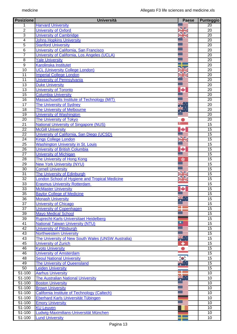| <b>Posizione</b> | <b>Università</b>                                     | <b>Paese</b> | <b>Punteggio</b> |
|------------------|-------------------------------------------------------|--------------|------------------|
| 1                | <b>Harvard University</b>                             |              | $\overline{20}$  |
| $\overline{2}$   | University of Oxford                                  | N<br>Kr      | 20               |
| 3                | <b>University of Cambridge</b>                        | $\sim$       | 20               |
| 4                | <b>Johns Hopkins University</b>                       |              | $\overline{20}$  |
| $\overline{5}$   | <b>Stanford University</b>                            |              | $\overline{20}$  |
| $\overline{6}$   | University of California, San Francisco               |              | 20               |
| $\overline{7}$   | University of California, Los Angeles (UCLA)          |              | $\overline{20}$  |
| $\overline{8}$   | <b>Yale University</b>                                |              | $\overline{20}$  |
| $\overline{9}$   | <b>Karolinska Institutet</b>                          |              | 20               |
| $\overline{10}$  | <b>UCL (University College London)</b>                |              | 20               |
| $\overline{11}$  | <b>Imperial College London</b>                        | G            | $\overline{20}$  |
| 11               | University of Pennsylvania                            |              | $\overline{20}$  |
| 13               | <b>Duke University</b>                                |              | 20               |
| $\overline{13}$  | <b>University of Toronto</b>                          | ٠            | 20               |
| $\overline{15}$  | <b>Columbia University</b>                            |              | $\overline{20}$  |
| 16               | Massachusetts Institute of Technology (MIT)           |              | 20               |
| $\overline{17}$  | The University of Sydney                              |              | 20               |
| $\overline{18}$  | The University of Melbourne                           |              | $\overline{20}$  |
| $\overline{19}$  | <b>University of Washington</b>                       |              | 20               |
| $\overline{20}$  | <b>The University of Tokyo</b>                        |              | 20               |
| $\overline{21}$  | <b>National University of Singapore (NUS)</b>         |              | $\overline{15}$  |
| $\overline{22}$  | <b>McGill University</b>                              |              | $\overline{15}$  |
| $\overline{22}$  | University of California, San Diego (UCSD)            |              | 15               |
| $\overline{24}$  | <b>Kings College London</b>                           | $\sim$ 12    | 15               |
| $\overline{25}$  | <b>Washington University in St. Louis</b>             |              | $\overline{15}$  |
| $\overline{26}$  | University of British Columbia                        | ٠            | 15               |
| $\overline{27}$  | <b>University of Michigan</b>                         |              | 15               |
| $\overline{28}$  | The University of Hong Kong                           | ×            | 15               |
| 29               | <b>New York University (NYU)</b>                      |              | $\overline{15}$  |
| $\overline{30}$  | <b>Cornell University</b>                             |              | 15               |
| $\overline{31}$  | The University of Edinburgh                           | <b>NZ</b>    | 15               |
| $\overline{32}$  | <b>London School of Hygiene and Tropical Medicine</b> | ≤⊳           | 15               |
| 33               | <b>Erasmus University Rotterdam</b>                   | za Ko        | $\overline{15}$  |
| $\overline{33}$  | <b>McMaster University</b>                            |              | 15               |
| $\overline{35}$  | <b>Baylor College of Medicine</b>                     |              | $\overline{15}$  |
| $\overline{36}$  | <b>Monash University</b>                              |              | 15               |
| 37               | <b>University of Chicago</b>                          |              | 15               |
| 37               | <b>University of Copenhagen</b>                       |              | 15               |
| 39               | <b>Mayo Medical School</b>                            |              | 15               |
| 39               | Ruprecht-Karls-Universitaet Heidelberg                |              | 15               |
| 41               | <b>National Taiwan University (NTU)</b>               | ◘            | 15               |
| 42               | <b>University of Pittsburgh</b>                       |              | 15               |
| 43               | <b>Northwestern University</b>                        |              | $\overline{15}$  |
| 43               | The University of New South Wales (UNSW Australia)    | ×.∵          | 15               |
| $\overline{45}$  | <b>University of Zurich</b>                           | ۰            | $\overline{15}$  |
| 46               | <b>Kyoto University</b>                               |              | 15               |
| 46               | <b>University of Amsterdam</b>                        |              | 15               |
| 48               | <b>Seoul National University</b>                      |              | 15               |
| 49               | The University of Queensland                          |              | 15               |
| 50               | <b>Leiden University</b>                              |              | 15               |
| 51-100           | <b>Aarhus University</b>                              |              | 10               |
| 51-100           | <b>The Australian National University</b>             |              | 10               |
| 51-100           | <b>Boston University</b>                              |              | 10               |
| 51-100           | <b>Brown University</b>                               |              | 10               |
| 51-100           | <b>California Institute of Technology (Caltech)</b>   |              | 10               |
| $51 - 100$       | Eberhard Karls Universität Tübingen                   |              | 10               |
| $51 - 100$       | <b>Emory University</b>                               |              | 10               |
| 51-100           | <b>KU Leuven</b>                                      |              | 10               |
| 51-100           | Ludwig-Maximilians-Universität München                |              | 10               |
| 51-100           | <b>Lund University</b>                                |              | 10               |
|                  |                                                       |              |                  |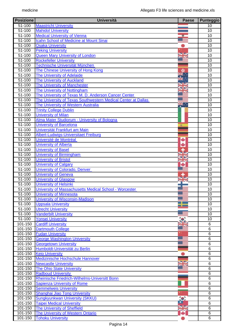| <b>Posizione</b> | <b>Università</b>                                             | <b>Paese</b>    | Punteggio       |
|------------------|---------------------------------------------------------------|-----------------|-----------------|
| 51-100           | <b>Maastricht University</b>                                  |                 | 10              |
| $51 - 100$       | <b>Mahidol University</b>                                     |                 | $\overline{10}$ |
| 51-100           | <b>Medical University of Vienna</b>                           | 18              | 10              |
| 51-100           | Icahn School of Medicine at Mount Sinai                       |                 | 10              |
| $51 - 100$       | <b>Osaka University</b>                                       |                 | $\overline{10}$ |
| $51 - 100$       | <b>Peking University</b>                                      |                 | $\overline{10}$ |
| 51-100           | <b>Queen Mary University of London</b>                        | VZ              | 10              |
| 51-100           | <b>Rockefeller University</b>                                 |                 | 10              |
| $51 - 100$       | Technische Universität München                                |                 | $\overline{10}$ |
| 51-100           | The Chinese University of Hong Kong                           |                 | 10              |
| 51-100           | The University of Adelaide                                    |                 | 10              |
| 51-100           | <b>The University of Auckland</b>                             |                 | $\overline{10}$ |
| 51-100           | <b>The University of Manchester</b>                           |                 | 10              |
| 51-100           | The University of Nottingham                                  |                 | 10              |
| 51-100           | The University of Texas M. D. Anderson Cancer Center          |                 | 10              |
| 51-100           | The University of Texas Southwestern Medical Center at Dallas |                 | 10              |
| 51-100           | The University of Western Australia                           | ™.              | $\overline{10}$ |
| 51-100           | <b>Trinity College Dublin</b>                                 |                 | 10              |
| $51 - 100$       | <b>University of Milan</b>                                    |                 | $\overline{10}$ |
| $51 - 100$       | Alma Mater Studiorum - University of Bologna                  |                 | $\overline{10}$ |
| 51-100           | <b>University of Barcelona</b>                                | 安               | 10              |
| 51-100           | Universität Frankfurt am Main                                 |                 | 10              |
| 51-100           | Albert-Ludwigs-Universitaet Freiburg                          |                 | $\overline{10}$ |
| 51-100           | Université de Montréal                                        |                 | $\overline{10}$ |
| 51-100           | <b>University of Alberta</b>                                  |                 | 10              |
| $51 - 100$       | <b>University of Basel</b>                                    |                 | $\overline{10}$ |
| $51 - 100$       | <b>University of Birmingham</b>                               |                 | 10              |
| 51-100           | <b>University of Bristol</b>                                  |                 | 10              |
| 51-100           | <b>University of Calgary</b>                                  | <b>ZAN</b><br>÷ | 10              |
| $51 - 100$       | University of Colorado, Denver                                |                 | 10              |
| $51 - 100$       | <b>University of Geneva</b>                                   |                 | $\overline{10}$ |
| 51-100           | <b>University of Glasgow</b>                                  |                 | 10              |
| $51 - 100$       | <b>University of Helsinki</b>                                 |                 | 10              |
| $51 - 100$       | University of Massachusetts Medical School - Worcester        |                 | $\overline{10}$ |
| 51-100           | <b>University of Minnesota</b>                                |                 | 10              |
| 51-100           | <b>University of Wisconsin-Madison</b>                        |                 | 10              |
| 51-100           | <b>Uppsala University</b>                                     |                 | 10              |
|                  | <b>Utrecht University</b>                                     |                 | 10              |
| 51-100           |                                                               |                 |                 |
| 51-100           | <b>Vanderbilt University</b>                                  |                 | 10              |
| $51 - 100$       | <b>Yonsei University</b>                                      |                 | 10              |
| 101-150          | <b>Cardiff University</b>                                     |                 | $\,6$           |
| 101-150          | <b>Dartmouth College</b>                                      |                 | 6               |
| 101-150          | <b>Fudan University</b>                                       |                 | 6               |
| 101-150          | <b>George Washington University</b>                           |                 | 6               |
| 101-150          | <b>Georgetown University</b>                                  |                 | $\overline{6}$  |
| 101-150          | Humboldt-Universität zu Berlin                                |                 | $\,6$           |
| 101-150          | <b>Keio University</b>                                        |                 | $\overline{6}$  |
| 101-150          | Medizinische Hochschule Hannover                              |                 | $\overline{6}$  |
| 101-150          | <b>Newcastle University</b>                                   |                 | $\,6$           |
| 101-150          | <b>The Ohio State University</b>                              |                 | 6               |
| 101-150          | <b>Radboud University</b>                                     |                 | $\overline{6}$  |
| 101-150          | Rheinische Friedrich-Wilhelms-Universitt Bonn                 |                 | $\overline{6}$  |
| 101-150          | <b>Sapienza University of Rome</b>                            |                 | $\,6$           |
| 101-150          | <b>Semmelweis University</b>                                  |                 | $\overline{6}$  |
| 101-150          | Shanghai Jiao Tong University                                 |                 | $\overline{6}$  |
| 101-150          | <b>Sungkyunkwan University (SKKU)</b>                         | $\bullet$       | 6               |
| 101-150          | <b>Taipei Medical University</b>                              |                 | 6               |
| 101-150          | <b>The University of Sheffield</b>                            | VZ<br>a sa      | $\overline{6}$  |
| 101-150          | The University of Western Ontario                             |                 | $\,6$           |
| 101-150          | <b>Tohoku University</b>                                      |                 | 6               |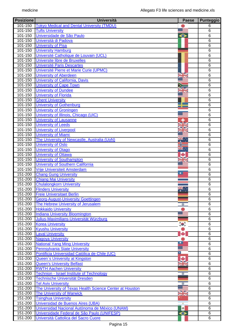| <b>Posizione</b>   | <b>Università</b>                                                   | <b>Paese</b>              | <b>Punteggio</b>    |
|--------------------|---------------------------------------------------------------------|---------------------------|---------------------|
| 101-150            | <b>Tokyo Medical and Dental University (TMDU)</b>                   |                           | 6                   |
| 101-150            | <b>Tufts University</b>                                             |                           | $\overline{6}$      |
| 101-150            | Universidade de São Paulo                                           | ⊖                         | 6                   |
| 101-150            | Università di Padova                                                |                           | 6                   |
| 101-150            | <b>University of Pisa</b>                                           |                           | $\overline{6}$      |
| 101-150            | <b>University Hamburg</b>                                           |                           | 6                   |
| 101-150            | Université Catholique de Louvain (UCL)                              |                           | 6                   |
| 101-150            | Universite libre de Bruxelles                                       |                           | $\overline{6}$      |
| 101-150            | <b>Université Paris Descartes</b>                                   |                           | $\overline{6}$      |
| 101-150            | Université Pierre et Marie Curie (UPMC)                             |                           | $\overline{6}$      |
| 101-150            | <b>University of Aberdeen</b>                                       |                           | 6                   |
| 101-150            | University of California, Davis                                     |                           | 6                   |
| 101-150            | <b>University of Cape Town</b>                                      |                           | 6                   |
| 101-150            | <b>University of Dundee</b>                                         |                           | 6                   |
| 101-150            | <b>University of Florida</b>                                        |                           | 6                   |
| 101-150            | <b>Ghent University</b>                                             |                           | $\overline{6}$      |
| 101-150            | <b>University of Gothenburg</b>                                     |                           | $\overline{6}$      |
| 101-150            | <b>University of Groningen</b>                                      |                           | 6                   |
| 101-150            | University of Illinois, Chicago (UIC)                               |                           | 6                   |
| 101-150            | <b>University of Lausanne</b>                                       |                           | $\overline{6}$      |
| 101-150            | <b>University of Leeds</b>                                          |                           | 6                   |
| $101 - 150$        | <b>University of Liverpool</b>                                      |                           | 6                   |
| 101-150            | <b>University of Miami</b>                                          |                           | $\overline{6}$      |
| 101-150            | The University of Newcastle, Australia (UoN)                        |                           | $\overline{6}$      |
| 101-150            | <b>University of Oslo</b>                                           | $\overline{\mathbf{R}}$ . | 6                   |
| 101-150            | <b>University of Otago</b>                                          |                           | $\overline{6}$      |
| 101-150            | <b>University of Ottawa</b>                                         | ÷                         | 6                   |
| 101-150            | <b>University of Southampton</b>                                    |                           | 6                   |
| 101-150<br>101-150 | University of Southern California                                   |                           | 6<br>$\overline{6}$ |
| 151-200            | <b>Vrije Universiteit Amsterdam</b><br><b>Chang Gung University</b> | ▫                         | 6                   |
| 151-200            | <b>Chiang Mai University</b>                                        |                           | 6                   |
| 151-200            | <b>Chulalongkorn University</b>                                     |                           | $\overline{6}$      |
| 151-200            | <b>Flinders University</b>                                          |                           | $\overline{6}$      |
| 151-200            | <b>Freie Universitaet Berlin</b>                                    |                           | 6                   |
| 151-200            | <b>Georg-August-University Goettingen</b>                           |                           | 6                   |
| 151-200            | The Hebrew University of Jerusalem                                  | ₩                         | 6                   |
| 151-200            | <b>Hokkaido University</b>                                          |                           | 6                   |
| 151-200            | <b>Indiana University Bloomington</b>                               |                           | $\,6$               |
| 151-200            | Julius-Maximilians-Universität Würzburg                             |                           | 6                   |
| 151-200            | <b>Korea University</b>                                             | $\bullet$                 | 6                   |
| 151-200            | <b>Kyushu University</b>                                            |                           | 6                   |
| 151-200            | <b>Laval University</b>                                             |                           | 6                   |
| 151-200            | <b>Nagoya University</b>                                            |                           | 6                   |
| 151-200            | <b>National Yang Ming University</b>                                | ▫                         | $\overline{6}$      |
| 151-200            | <b>Pennsylvania State University</b>                                |                           | 6                   |
| 151-200            | Pontificia Universidad Católica de Chile (UC)                       | Ξ                         | $\overline{6}$      |
| 151-200            | Queen's University at Kingston                                      | ÷                         | $\overline{6}$      |
| 151-200            | <b>Queen's University Belfast</b>                                   |                           | $\,6$               |
| 151-200            | <b>RWTH Aachen University</b>                                       | <b>za K</b>               | 6                   |
| 151-200            | <b>Technion - Israel Institute of Technology</b>                    | ₩                         | $\overline{6}$      |
| 151-200            | Technische Universität Dresden                                      |                           | $6\phantom{1}6$     |
| 151-200            | <b>Tel Aviv University</b>                                          | ۰                         | $6\phantom{1}6$     |
| 151-200            | The University of Texas Health Science Center at Houston            |                           | $\overline{6}$      |
| 151-200            | <b>The University of Warwick</b>                                    | VZ<br><b>STAR</b>         | $\overline{6}$      |
| 151-200            | <b>Tsinghua University</b>                                          |                           | 6                   |
| 151-200            | Universidad de Buenos Aires (UBA)                                   | $\blacksquare$            | 6                   |
| 151-200            | Universidad Nacional Autónoma de México (UNAM)                      | $\bullet$                 | $\overline{6}$      |
| 151-200            | Universidade Federal de São Paulo (UNIFESP)                         | ⊖                         | 6                   |
| 151-200            | Università Cattolica del Sacro Cuore                                |                           | 6                   |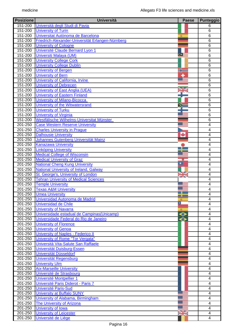| <b>Posizione</b>       | <b>Università</b>                                           | <b>Paese</b> | Punteggio               |
|------------------------|-------------------------------------------------------------|--------------|-------------------------|
| $\overline{151}$ -200  | Università degli Studi di Pavia                             |              | 6                       |
| $151 - 200$            | <b>University of Turin</b>                                  |              | $\overline{6}$          |
| $151 - 200$            | Universitat Autònoma de Barcelona                           |              | 6                       |
| 151-200                | Friedrich-Alexander-Universität Erlangen-Nürnberg           |              | 6                       |
| $151 - 200$            | <b>University of Cologne</b>                                |              | 6                       |
| 151-200                | Université Claude Bernard Lyon 1                            |              | $\overline{6}$          |
| 151-200                | Universiti Malaya (UM)                                      | Œ            | 6                       |
| 151-200                | <b>University College Cork</b>                              |              | 6                       |
| 151-200                | <b>University College Dublin</b>                            |              | $\overline{6}$          |
| 151-200                | <b>University of Bergen</b>                                 |              | $\overline{6}$          |
| 151-200                | <b>University of Bern</b>                                   |              | 6                       |
| 151-200                | University of California, Irvine                            |              | 6                       |
| 151-200                | <b>University of Debrecen</b>                               |              | 6                       |
| $\overline{151} - 200$ | University of East Anglia (UEA)                             |              | 6                       |
| 151-200                | <b>University of Eastern Finland</b>                        |              | 6                       |
| 151-200                | <b>University of Milano-Bicocca</b>                         |              | 6                       |
| 151-200                | University of the Witwatersrand                             |              | 6                       |
| 151-200                | <b>University of Turku</b>                                  |              | 6                       |
| 151-200                | <b>University of Virginia</b>                               |              | $\overline{6}$          |
| 151-200                | Westfälische Wilhelms-Universitat Münster                   |              | 6                       |
| 201-250                | <b>Case Western Reserve University</b>                      |              | $\overline{4}$          |
| 201-250                | <b>Charles University in Prague</b>                         |              | $\overline{4}$          |
| 201-250                | <b>Dalhousie University</b>                                 | ÷            | 4                       |
| 201-250                | Johannes Gutenberg Universität Mainz                        |              | $\overline{4}$          |
| 201-250                | <b>Kanazawa University</b>                                  |              | 4                       |
| 201-250                | <b>Linköping University</b>                                 |              | 4                       |
| 201-250                | <b>Medical College of Wisconsin</b>                         |              | 4                       |
| 201-250                | <b>Medical University of Graz</b>                           |              | 4                       |
| 201-250                | <b>National Cheng Kung University</b>                       |              | 4                       |
| 201-250                | National University of Ireland, Galway                      |              | $\overline{4}$          |
| 201-250                | St. George's, University of London                          | S Z          | 4                       |
| 201-250                | <b>Tehran University of Medical Sciences</b>                | <b>ZIN</b>   | 4                       |
| 201-250                | <b>Temple University</b>                                    |              | 4                       |
| 201-250                | <b>Texas A&amp;M University</b>                             |              | 4                       |
| 201-250                | <b>Umea University</b>                                      |              | $\overline{4}$          |
| 201-250                | Universidad Autonoma de Madrid                              | 濁            | 4                       |
| 201-250                | <b>Universidad de Chile</b>                                 | Π            | 4                       |
| 201-250                | <b>University of Navarra</b>                                |              | 4                       |
| $201 - 250$            | Universidade estadual de Campinas (Unicamp)                 | 凌<br>⊖       | 4                       |
| 201-250                | Universidade Federal do Rio de Janeiro                      |              | 4                       |
| 201-250                | <b>University of Florence</b>                               | ⊖            | $\overline{4}$          |
| 201-250                | <b>University of Genoa</b>                                  |              | 4                       |
| 201-250                | University of Naples - Federico II                          |              | $\overline{\mathbf{4}}$ |
| 201-250                | University of Rome "Tor Vergata"                            |              | 4                       |
| 201-250                | Università Vita-Salute San Raffaele                         |              | 4                       |
| 201-250                | Universität Duisburg-Essen                                  |              | $\overline{4}$          |
| 201-250                | Universität Düsseldorf                                      |              | 4                       |
| 201-250                |                                                             |              | 4                       |
|                        | Universität Regensburg<br><b>University Ulm</b>             |              |                         |
| 201-250                |                                                             |              | 4                       |
| 201-250<br>201-250     | <b>Aix-Marseille University</b><br>Université de Strasbourg |              | 4                       |
|                        |                                                             |              | 4<br>$\overline{4}$     |
| 201-250                | Université Montpellier 1                                    |              |                         |
| 201-250                | Université Paris Diderot - Paris 7                          |              | $\overline{4}$          |
| 201-250                | <b>Université Paris-Sud</b>                                 |              | $\overline{\mathbf{4}}$ |
| 201-250                | <b>University at Buffalo SUNY</b>                           |              | $\overline{4}$          |
| 201-250                | University of Alabama, Birmingham                           |              | $\overline{4}$          |
| 201-250                | <b>The University of Arizona</b>                            |              | $\overline{4}$          |
| 201-250                | <b>University of Iowa</b>                                   | VZ           | $\overline{4}$          |
| 201-250                | <b>University of Leicester</b>                              |              | $\overline{\mathbf{4}}$ |
| 201-250                | Université de Liège                                         |              | 4                       |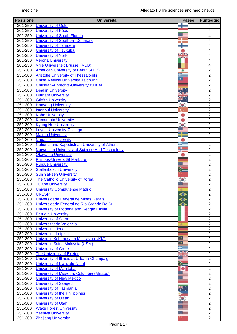| <b>Posizione</b> | <b>Università</b>                              | <b>Paese</b>    | Punteggio      |
|------------------|------------------------------------------------|-----------------|----------------|
| 201-250          | <b>University of Oulu</b>                      |                 | 4              |
| 201-250          | <b>University of Pécs</b>                      |                 | 4              |
| 201-250          | <b>University of South Florida</b>             |                 | 4              |
| 201-250          | <b>University of Southern Denmark</b>          |                 | $\overline{4}$ |
| 201-250          | <b>University of Tampere</b>                   |                 | 4              |
| 201-250          | <b>University of Tsukuba</b>                   |                 | $\overline{4}$ |
| 201-250          | <b>University of York</b>                      |                 | 4              |
| 201-250          | <b>Verona University</b>                       |                 | $\overline{4}$ |
| 201-250          | <b>Vrije Universiteit Brussel (VUB)</b>        |                 | $\overline{4}$ |
| 251-300          | <b>American University of Beirut (AUB)</b>     |                 | $\overline{2}$ |
| 251-300          | <b>Aristotle University of Thessaloniki</b>    | - 2             | $\overline{2}$ |
| 251-300          | <b>China Medical University Taichung</b>       | ▫               | $\overline{2}$ |
| $251 - 300$      | <b>Christian-Albrechts-University zu Kiel</b>  |                 | $\overline{2}$ |
| 251-300          | <b>Deakin University</b>                       |                 | $\overline{2}$ |
| 251-300          | <b>Durham University</b>                       |                 | $\overline{2}$ |
| 251-300          | <b>Griffith University</b>                     |                 | $\overline{2}$ |
| 251-300          | <b>Hanyang University</b>                      | $\bullet$       | $\overline{2}$ |
| $251 - 300$      | <b>Istanbul University</b>                     | C٠              | $\overline{2}$ |
| 251-300          | <b>Kobe University</b>                         |                 | $\overline{2}$ |
|                  |                                                |                 | $\overline{2}$ |
| 251-300          | <b>Kumamoto University</b>                     | $\mathbf{r}_0$  |                |
| 251-300          | <b>Kyung Hee University</b>                    |                 | $\overline{2}$ |
| 251-300          | <b>Loyola University Chicago</b>               |                 | $\overline{2}$ |
| 251-300          | <b>Malmo University</b>                        |                 | $\overline{2}$ |
| 251-300          | <b>Nagasaki University</b>                     |                 | $\overline{2}$ |
| $251 - 300$      | National and Kapodistrian University of Athens | ╅               | $\overline{2}$ |
| 251-300          | Norwegian University of Science And Technology |                 | $\overline{2}$ |
| 251-300          | <b>Okayama University</b>                      |                 | $\overline{2}$ |
| 251-300          | Philipps-Universität Marburg                   |                 | $\overline{2}$ |
| 251-300          | <b>Purdue University</b>                       |                 | $\overline{2}$ |
| 251-300          | <b>Stellenbosch University</b>                 | ≫               | $\overline{2}$ |
| 251-300          | <b>Sun Yat-sen University</b>                  |                 | $\overline{2}$ |
| 251-300          | The Catholic University of Korea               |                 | $\overline{2}$ |
| 251-300          | <b>Tulane University</b>                       |                 | $\overline{2}$ |
| 251-300          | <b>University Complutense Madrid</b>           | 濁               | $\overline{2}$ |
| 251-300          | <b>UNESP</b>                                   | ⊖               | $\overline{2}$ |
| 251-300          | Universidade Federal de Minas Gerais           | ⊖               | $\overline{2}$ |
| 251-300          | Universidade Federal do Rio Grande Do Sul      | ⊖               | $\overline{2}$ |
| 251-300          | University of Modena and Reggio Emilia         |                 | $\overline{2}$ |
| 251-300          | <b>Perugia University</b>                      |                 | $\overline{2}$ |
| 251-300          | <b>University of Siena</b>                     |                 | $\overline{2}$ |
| 251-300          | Universitat de Valencia                        |                 | $\overline{2}$ |
| 251-300          | Universität Jena                               |                 | $\overline{2}$ |
| 251-300          | <b>Universität Leipzig</b>                     |                 | $\overline{2}$ |
| 251-300          | Universiti Kebangsaan Malaysia (UKM)           | $\bullet$       | $\overline{2}$ |
| 251-300          | Universiti Sains Malaysia (USM)                | $\bullet$       | $\overline{2}$ |
| 251-300          | <b>University of Crete</b>                     | Ŧ               | $\overline{2}$ |
| 251-300          | The University of Exeter                       | NK              | $\overline{2}$ |
| 251-300          | University of Illinois at Urbana-Champaign     |                 | $\overline{2}$ |
|                  |                                                |                 |                |
| 251-300          | <b>University of Kwazulu-Natal</b>             | ➢               | $\overline{2}$ |
| 251-300          | <b>University of Manitoba</b>                  | ÷               | $\overline{2}$ |
| 251-300          | University of Missouri, Columbia (Mizzou)      |                 | $\overline{2}$ |
| 251-300          | <b>University of New Mexico</b>                |                 | $\overline{2}$ |
| 251-300          | <b>University of Szeged</b>                    |                 | $\overline{2}$ |
| 251-300          | <b>University of Tasmania</b>                  | $\ddot{\bm{x}}$ | $\overline{2}$ |
| $251 - 300$      | University of the Philippines                  |                 | $\overline{2}$ |
| 251-300          | <b>University of Ulsan</b>                     | $\bullet$       | $\overline{2}$ |
| 251-300          | <b>University of Utah</b>                      |                 | $\overline{2}$ |
| 251-300          | <b>Wake Forest University</b>                  |                 | $\overline{2}$ |
| 251-300          | <b>Yeshiva University</b>                      |                 | $\overline{2}$ |
| 251-300          | <b>Zhejiang University</b>                     |                 | $\overline{2}$ |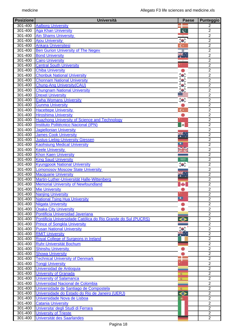| <b>Posizione</b> | <b>Università</b>                                             | <b>Paese</b>     | <b>Punteggio</b> |
|------------------|---------------------------------------------------------------|------------------|------------------|
| 301-400          | <b>Aalborg University</b>                                     |                  | 2                |
| 301-400          | <b>Aga Khan University</b>                                    | $\mathbf{c}$     | $\overline{2}$   |
| 301-400          | <b>Ain Shams University</b>                                   |                  | $\overline{2}$   |
| 301-400          | <b>Ajou University</b>                                        | to:              | $\overline{2}$   |
| 301-400          | <b>Ankara Üniversitesi</b>                                    | c٠               | $\overline{2}$   |
| 301-400          | <b>Ben Gurion University of The Negev</b>                     | ₩                | $\overline{2}$   |
| 301-400          | <b>Bond University</b>                                        | ₩.               | $\overline{2}$   |
| 301-400          | <b>Cairo University</b>                                       |                  | $\overline{2}$   |
| 301-400          | <b>Central South University</b>                               |                  | $\overline{2}$   |
| 301-400          | <b>Chiba University</b>                                       |                  | $\overline{2}$   |
| 301-400          | <b>Chonbuk National University</b>                            |                  | $\overline{2}$   |
| 301-400          | <b>Chonnam National University</b>                            |                  | $\overline{2}$   |
| 301-400          | <b>Chung-Ang University (CAU)</b>                             |                  | $\overline{2}$   |
| 301-400          | <b>Chungnam National University</b>                           |                  | $\overline{2}$   |
| 301-400          | <b>Drexel University</b>                                      |                  | $\overline{2}$   |
| 301-400          | <b>Ewha Womans University</b>                                 | $\bullet$        | $\overline{2}$   |
| 301-400          | <b>Gunma University</b>                                       |                  | $\overline{2}$   |
| 301-400          | <b>Hacettepe University</b>                                   | c٠               | $\overline{2}$   |
| 301-400          | <b>Hiroshima University</b>                                   |                  | $\overline{2}$   |
| $301 - 400$      | <b>Huazhong University of Science and Technology</b>          |                  | $\overline{2}$   |
| 301-400          | Instituto Politécnico Nacional (IPN)                          | æ.               | $\boldsymbol{2}$ |
| 301-400          | <b>Jagiellonian University</b>                                |                  | $\overline{2}$   |
| 301-400          | <b>James Cook University</b>                                  |                  | $\overline{2}$   |
|                  |                                                               | Ķ.               |                  |
| $301 - 400$      | <b>Justus-Liebig-University Giessen</b>                       |                  | $\overline{2}$   |
| 301-400          | <b>Kaohsiung Medical University</b>                           |                  | $\overline{2}$   |
| 301-400          | <b>Keele University</b>                                       | XK               | $\overline{2}$   |
| 301-400          | <b>Khon Kaen University</b>                                   |                  | $\overline{2}$   |
| 301-400          | <b>King Saud University</b>                                   | 5,915            | $\overline{2}$   |
| 301-400          | <b>Kyungpook National University</b>                          | $\bullet$        | $\overline{2}$   |
| 301-400          | <b>Lomonosov Moscow State University</b>                      |                  | $\overline{2}$   |
| 301-400          | <b>Macquarie University</b>                                   | XW.              | $\overline{2}$   |
| $301 - 400$      | Martin-Luther-Universität Halle-Wittenberg                    |                  | $\overline{2}$   |
| 301-400          | <b>Memorial University of Newfoundland</b>                    |                  | $\overline{2}$   |
| 301-400          | <b>Mie University</b>                                         |                  | $\overline{2}$   |
| 301-400          | <b>Nanjing University</b>                                     |                  | $\overline{2}$   |
| 301-400          | <b>National Tsing Hua University</b>                          |                  | $\overline{2}$   |
| 301-400          | <b>Niigata University</b>                                     |                  | $\overline{2}$   |
| 301-400          | <b>Osaka City University</b>                                  |                  | $\overline{2}$   |
| 301-400          | Pontificia Universidad Javeriana                              |                  | $\overline{2}$   |
| 301-400          | Pontificia Universidade Católica do Rio Grande do Sul (PUCRS) | $\bm{\circ}$     | $\overline{2}$   |
| 301-400          | <b>Prince of Songkla University</b>                           |                  | $\overline{2}$   |
| 301-400          | <b>Pusan National University</b>                              |                  | $\overline{2}$   |
| 301-400          | <b>RMIT University</b>                                        | k.               | $\overline{2}$   |
| 301-400          | Royal College of Surgeons in Ireland                          |                  | $\overline{2}$   |
| 301-400          | <b>Ruhr-Universität Bochum</b>                                |                  | $\overline{2}$   |
| 301-400          | <b>Shinshu University</b>                                     |                  | $\boldsymbol{2}$ |
| 301-400          | <b>Showa University</b>                                       |                  | $\overline{2}$   |
| 301-400          | <b>Technical University of Denmark</b>                        |                  | $\overline{2}$   |
| $301 - 400$      | <b>Tongji University</b>                                      |                  | $\overline{2}$   |
| 301-400          | Universidad de Antioquia                                      |                  | $\overline{2}$   |
| 301-400          | <b>University of Granada</b>                                  | 変                | $\overline{2}$   |
| 301-400          | <b>University of Salamanca</b>                                | 変                | $\overline{2}$   |
| 301-400          | Universidad Nacional de Colombia                              |                  | $\overline{2}$   |
| 301-400          | Universidade de Santiago de Compostela                        | 変                | $\overline{2}$   |
| 301-400          | Universidade do Estado do Rio de Janeiro (UERJ)               | $\ddot{\bullet}$ | $\overline{2}$   |
| 301-400          | Universidade Nova de Lisboa                                   |                  | $\overline{2}$   |
| 301-400          | <b>Catania University</b>                                     |                  | $\overline{2}$   |
| 301-400          | Universita' degli Studi di Ferrara                            |                  | $\overline{2}$   |
| 301-400          | <b>University of Trieste</b>                                  |                  | $\overline{2}$   |
| 301-400          | Universität des Saarlandes                                    |                  | $\overline{2}$   |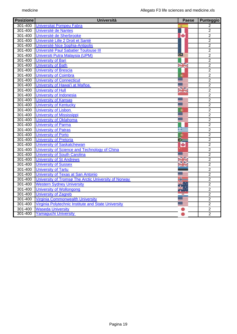| <b>Posizione</b> | <b>Università</b>                                    | <b>Paese</b>                    | Punteggio      |
|------------------|------------------------------------------------------|---------------------------------|----------------|
| $301 - 400$      | <b>Universitat Pompeu Fabra</b>                      |                                 | $\overline{2}$ |
| 301-400          | Université de Nantes                                 |                                 | $\overline{2}$ |
| 301-400          | Université de Sherbrooke                             | ٠                               | $\overline{2}$ |
| 301-400          | Université Lille 2 Droit et Santé                    |                                 | $\overline{2}$ |
| 301-400          | Université Nice Sophia-Antipolis                     |                                 | $\overline{2}$ |
| 301-400          | Université Paul Sabatier Toulouse III                |                                 | $\overline{2}$ |
| 301-400          | Universiti Putra Malaysia (UPM)                      | œ≣                              | $\overline{2}$ |
| 301-400          | <b>University of Bari</b>                            |                                 | $\overline{2}$ |
| 301-400          | <b>University of Bath</b>                            | ≫k<br>X                         | $\overline{2}$ |
| 301-400          | <b>University of Brescia</b>                         |                                 | $\overline{2}$ |
| 301-400          | <b>University of Coimbra</b>                         | Ó                               | $\overline{2}$ |
| 301-400          | <b>University of Connecticut</b>                     |                                 | $\overline{2}$ |
| 301-400          | University of Hawai'i at Mañoa                       |                                 | $\overline{2}$ |
| 301-400          | <b>University of Hull</b>                            | <b>SIZ</b><br><b>PAIN</b>       | $\overline{2}$ |
| 301-400          | University of Indonesia                              |                                 | $\overline{2}$ |
| 301-400          | <b>University of Kansas</b>                          |                                 | $\overline{2}$ |
| 301-400          | <b>University of Kentucky</b>                        |                                 | $\overline{2}$ |
| 301-400          | <b>University of Lisbon</b>                          | Ó                               | $\overline{2}$ |
| 301-400          | <b>University of Mississippi</b>                     |                                 | $\overline{2}$ |
| 301-400          | <b>University of Oklahoma</b>                        |                                 | $\overline{2}$ |
| 301-400          | <b>University of Parma</b>                           |                                 | $\overline{2}$ |
| 301-400          | <b>University of Patras</b>                          | æ                               | $\overline{2}$ |
| 301-400          | <b>University of Porto</b>                           | Ó                               | $\overline{2}$ |
| 301-400          | <b>University of Pretoria</b>                        | ≫                               | $\overline{2}$ |
| 301-400          | <b>University of Saskatchewan</b>                    | ÷                               | $\overline{2}$ |
| 301-400          | University of Science and Technology of China        |                                 | $\overline{2}$ |
| 301-400          | <b>University of South Carolina</b>                  |                                 | $\overline{2}$ |
| 301-400          | <b>University of St Andrews</b>                      | $\overline{\phantom{a}}$<br>⊲ ⊳ | $\overline{2}$ |
| 301-400          | <b>University of Sussex</b>                          | <b>CALCO</b>                    | $\overline{2}$ |
| 301-400          | <b>University of Tartu</b>                           |                                 | $\overline{2}$ |
| 301-400          | University of Texas at San Antonio                   |                                 | $\overline{2}$ |
| $301 - 400$      | University of Tromsø The Arctic University of Norway |                                 | $\overline{2}$ |
| 301-400          | <b>Western Sydney University</b>                     |                                 | $\overline{2}$ |
| 301-400          | <b>University of Wollongong</b>                      |                                 | $\overline{2}$ |
| 301-400          | University of Zagreb                                 |                                 | $\overline{2}$ |
| 301-400          | <b>Virginia Commonwealth University</b>              |                                 | $\overline{2}$ |
| 301-400          | Virginia Polytechnic Institute and State University  |                                 | $\overline{2}$ |
| 301-400          | <b>Waseda University</b>                             |                                 | $\overline{2}$ |
| 301-400          | <b>Yamaguchi University</b>                          |                                 | $\overline{2}$ |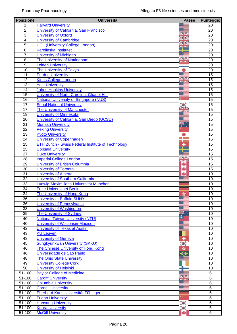| <b>Posizione</b> | <b>Università</b>                                         | <b>Paese</b>      | <b>Punteggio</b> |
|------------------|-----------------------------------------------------------|-------------------|------------------|
| 1                | <b>Harvard University</b>                                 |                   | 20               |
| $\overline{2}$   | University of California, San Francisco                   |                   | 20               |
| $\overline{3}$   | <b>University of Oxford</b>                               | NØ                | 20               |
| $\overline{4}$   | <b>University of Cambridge</b>                            |                   | 20               |
| $\overline{5}$   | <b>UCL (University College London)</b>                    |                   | $\overline{20}$  |
| $\overline{6}$   | <b>Karolinska Institutet</b>                              |                   | 20               |
| $\overline{7}$   | <b>University of Michigan</b>                             |                   | 20               |
| $\overline{8}$   | The University of Nottingham                              | VZ<br>za ko       | $\overline{20}$  |
| $\overline{9}$   | Leiden University                                         |                   | 20               |
| $\overline{10}$  | <b>The University of Tokyo</b>                            |                   | 20               |
| $\overline{11}$  | <b>Purdue University</b>                                  |                   | $\overline{15}$  |
| $\overline{12}$  | <b>Kings College London</b>                               | <b>SP</b>         | $\overline{15}$  |
| 13               | <b>Yale University</b>                                    |                   | 15               |
| 14               | <b>Johns Hopkins University</b>                           |                   | $\overline{15}$  |
| $\overline{15}$  | University of North Carolina, Chapel Hill                 |                   | 15               |
| 16               | <b>National University of Singapore (NUS)</b>             |                   | 15               |
| 17               | <b>Seoul National University</b>                          |                   | 15               |
| 17               | The University of Manchester                              |                   | $\overline{15}$  |
| $\overline{19}$  | <b>University of Minnesota</b>                            |                   | $\overline{15}$  |
| 20               | University of California, San Diego (UCSD)                |                   | 15               |
| $\overline{21}$  | <b>Monash University</b>                                  | ₩.,               | $\overline{15}$  |
| $\overline{22}$  | <b>Peking University</b>                                  |                   | $\overline{15}$  |
| 23               | <b>Kyoto University</b>                                   |                   | 15               |
| 24               | <b>University of Copenhagen</b>                           |                   | 15               |
| $\overline{25}$  | <b>ETH Zurich - Swiss Federal Institute of Technology</b> |                   | $\overline{15}$  |
| $\overline{25}$  | <b>Uppsala University</b>                                 |                   | $\overline{15}$  |
| $\overline{27}$  |                                                           |                   | 15               |
|                  | <b>Duke University</b>                                    | VR                |                  |
| $\overline{28}$  | <b>Imperial College London</b>                            | za is             | 15               |
| 29               | University of British Columbia                            |                   | 15               |
| $\overline{30}$  | <b>University of Toronto</b>                              |                   | 15               |
| $\overline{31}$  | <b>University of Alberta</b>                              |                   | 10               |
| $\overline{32}$  | University of Southern California                         |                   | 10               |
| $\overline{33}$  | Ludwig-Maximilians-Universität München                    |                   | 10               |
| $\overline{34}$  | <b>Freie Universitaet Berlin</b>                          |                   | 10               |
| $\overline{34}$  | The University of Hong Kong                               | sk.               | 10               |
| $\overline{36}$  | <b>University at Buffalo SUNY</b>                         |                   | 10               |
| 36               | <b>University of Pennsylvania</b>                         |                   | 10               |
| $\overline{38}$  | <b>University of Washington</b>                           |                   | 10               |
| 39               | <b>The University of Sydney</b>                           |                   | $\overline{10}$  |
| $\overline{40}$  | <b>National Taiwan University (NTU)</b>                   | ∙                 | 10               |
| 40               | <b>University of Wisconsin-Madison</b>                    |                   | 10               |
| 42               | University of Texas at Austin                             |                   | 10               |
| $\overline{43}$  | <b>KU Leuven</b>                                          |                   | 10               |
| 43               | <b>University of Geneva</b>                               | ۰                 | 10               |
| $\overline{45}$  | <b>Sungkyunkwan University (SKKU)</b>                     | $\bullet$         | 10               |
| 46               | The Chinese University of Hong Kong                       | ×                 | 10               |
| 46               | Universidade de São Paulo                                 | $\bm{\circ}$      | 10               |
| 48               | <b>The Ohio State University</b>                          |                   | 10               |
| 49               | <b>University College Cork</b>                            |                   | 10               |
| 50               | <b>University of Helsinki</b>                             |                   | 10               |
| 51-100           | <b>Baylor College of Medicine</b>                         |                   | 6                |
| 51-100           | <b>Cardiff University</b>                                 | VZ<br><b>Ball</b> | $\,6$            |
| $51 - 100$       | <b>Columbia University</b>                                |                   | $\overline{6}$   |
| 51-100           | <b>Cornell University</b>                                 |                   | 6                |
| 51-100           | Eberhard Karls Universität Tübingen                       |                   | $6\phantom{1}6$  |
| 51-100           | <b>Fudan University</b>                                   |                   | 6                |
| $51 - 100$       | <b>Hanyang University</b>                                 | $\bullet$         | 6                |
| 51-100           | <b>Korea University</b>                                   | $\bullet$         | $\,6$            |
| 51-100           | <b>McGill University</b>                                  |                   | 6                |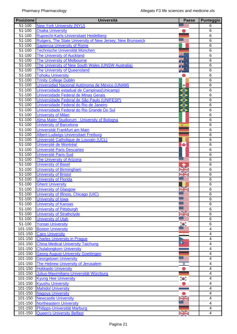| <b>Posizione</b> | <b>Università</b>                                                 | <b>Paese</b>  | Punteggio                |
|------------------|-------------------------------------------------------------------|---------------|--------------------------|
| 51-100           | <b>New York University (NYU)</b>                                  |               | 6                        |
| $51 - 100$       | <b>Osaka University</b>                                           |               | $\overline{6}$           |
| $51 - 100$       | Ruprecht-Karls-Universitaet Heidelberg                            |               | $\overline{6}$           |
| 51-100           | <b>Rutgers, The State University of New Jersey, New Brunswick</b> |               | $6\phantom{1}$           |
| 51-100           | <b>Sapienza University of Rome</b>                                |               | $\overline{6}$           |
| 51-100           | Technische Universität München                                    |               | $\overline{6}$           |
| 51-100           | <b>The University of Auckland</b>                                 |               | $6\phantom{1}6$          |
| $51 - 100$       | The University of Melbourne                                       |               | $\overline{6}$           |
| $51 - 100$       | The University of New South Wales (UNSW Australia)                |               | 6                        |
| $51 - 100$       | The University of Queensland                                      |               | $6\phantom{1}6$          |
| 51-100           | <b>Tohoku University</b>                                          |               | 6                        |
| $51 - 100$       | <b>Trinity College Dublin</b>                                     |               | $\overline{6}$           |
| $51 - 100$       | Universidad Nacional Autónoma de México (UNAM)                    | $\circledast$ | $\overline{6}$           |
| 51-100           | Universidade estadual de Campinas (Unicamp)                       | $\bullet$     | $6\phantom{1}$           |
| 51-100           | Universidade Federal de Minas Gerais                              | $\bullet$     | $6\phantom{1}$           |
| $51 - 100$       | Universidade Federal de São Paulo (UNIFESP)                       | $\bm{\circ}$  | $\overline{6}$           |
| $51 - 100$       | Universidade Federal do Rio de Janeiro                            | $\bullet$     | $\overline{6}$           |
| 51-100           | Universidade Federal do Rio Grande Do Sul                         | ◒             | $6\phantom{1}$           |
| 51-100           | <b>University of Milan</b>                                        |               | $\overline{6}$           |
| 51-100           | Alma Mater Studiorum - University of Bologna                      |               | $\overline{6}$           |
| 51-100           | <b>University of Barcelona</b>                                    | 変             | 6                        |
| 51-100           | Universität Frankfurt am Main                                     |               | $6\phantom{1}6$          |
| 51-100           | Albert-Ludwigs-Universitaet Freiburg                              |               | 6                        |
| 51-100           | Université Catholique de Louvain (UCL)                            |               | 6                        |
| 51-100           | Université de Montréal                                            | ۰             | $6\phantom{1}6$          |
| 51-100           | <b>Université Paris Descartes</b>                                 |               | $6\phantom{1}6$          |
| $51 - 100$       | <b>Université Paris-Sud</b>                                       |               | $\overline{6}$           |
| 51-100           | <b>The University of Arizona</b>                                  |               | $\overline{6}$           |
| 51-100           | <b>University of Basel</b>                                        |               | $\overline{6}$           |
| 51-100           | <b>University of Birmingham</b>                                   |               | 6                        |
| 51-100           | <b>University of Bristol</b>                                      |               | 6                        |
| 51-100           | <b>University of Florida</b>                                      |               | $6\phantom{1}6$          |
| $51 - 100$       | <b>Ghent University</b>                                           |               | 6                        |
| $51 - 100$       | <b>University of Glasgow</b>                                      | $\frac{N}{2}$ | $\overline{6}$           |
| $51 - 100$       | University of Illinois, Chicago (UIC)                             |               | 6                        |
| 51-100           | <b>University of Iowa</b>                                         |               | 6                        |
| $51 - 100$       | <b>University of Kansas</b>                                       |               | 6                        |
| $51 - 100$       | <b>University of Pittsburgh</b>                                   | VZ            | $6\phantom{1}6$          |
| $51 - 100$       | <b>University of Strathclyde</b>                                  |               | 6                        |
| $51 - 100$       | <b>University of Utah</b>                                         |               | $\overline{6}$           |
| $51 - 100$       | <b>Yonsei University</b>                                          | $^{\prime}$ o | $\overline{6}$           |
| 101-150          | <b>Boston University</b>                                          |               | $\overline{\mathbf{4}}$  |
| 101-150          | <b>Cairo University</b>                                           |               | $\overline{\mathcal{A}}$ |
| $101 - 150$      | <b>Charles University in Prague</b>                               | Ξ             | $\overline{\mathcal{A}}$ |
| 101-150          | <b>China Medical University Taichung</b>                          |               | $\overline{\mathcal{A}}$ |
| 101-150          | <b>Chulalongkorn University</b>                                   |               | $\overline{\mathcal{A}}$ |
| 101-150          | <b>Georg-August-University Goettingen</b>                         |               | $\overline{\mathcal{A}}$ |
| 101-150          | <b>Georgetown University</b>                                      |               | $\overline{\mathcal{A}}$ |
| 101-150          | The Hebrew University of Jerusalem                                | ₩             | 4                        |
| 101-150          | <b>Hokkaido University</b>                                        |               | $\overline{\mathbf{4}}$  |
| 101-150          | Julius-Maximilians-Universität Würzburg                           |               | $\overline{\mathcal{A}}$ |
| 101-150          | <b>Kyung Hee University</b>                                       | $\bullet$     | 4                        |
| 101-150          | <b>Kyushu University</b>                                          |               | $\overline{\mathbf{4}}$  |
| 101-150          | <b>Mahidol University</b>                                         |               | $\overline{4}$           |
| 101-150          | <b>Nagoya University</b>                                          |               | $\overline{\mathcal{A}}$ |
| 101-150          | <b>Newcastle University</b>                                       |               | $\overline{\mathbf{4}}$  |
| 101-150          | <b>Northeastern University</b>                                    |               | $\overline{\mathcal{A}}$ |
| 101-150          | Philipps-Universität Marburg                                      |               | 4                        |
| 101-150          | <b>Queen's University Belfast</b>                                 | ¥             | $\overline{4}$           |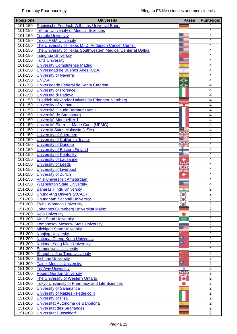| <b>Posizione</b>       | <b>Università</b>                                             | <b>Paese</b>            | Punteggio               |
|------------------------|---------------------------------------------------------------|-------------------------|-------------------------|
| 101-150                | Rheinische Friedrich-Wilhelms-Universitt Bonn                 |                         | 4                       |
| $101 - 150$            | <b>Tehran University of Medical Sciences</b>                  |                         | 4                       |
| $101 - 150$            | <b>Temple University</b>                                      |                         | $\overline{4}$          |
| $\overline{101} - 150$ | <b>Texas A&amp;M University</b>                               |                         | 4                       |
| 101-150                | The University of Texas M. D. Anderson Cancer Center          |                         | 4                       |
| 101-150                | The University of Texas Southwestern Medical Center at Dallas |                         | $\overline{4}$          |
| 101-150                | <b>Tsinghua University</b>                                    |                         | $\overline{\mathbf{4}}$ |
| 101-150                | <b>Tufts University</b>                                       | - 1                     | 4                       |
| 101-150                | <b>University Complutense Madrid</b>                          | 渝                       | $\overline{4}$          |
| 101-150                | Universidad de Buenos Aires (UBA)                             |                         | 4                       |
| 101-150                | <b>University of Navarra</b>                                  | 変                       | $\overline{4}$          |
| 101-150                | <b>UNESP</b>                                                  | ◒                       | $\overline{4}$          |
| $101 - 150$            | Universidade Federal de Santa Catarina                        | ◒                       | 4                       |
| 101-150                | <b>University of Florence</b>                                 |                         | 4                       |
| $\overline{101} - 150$ | Università di Padova                                          |                         | 4                       |
| 101-150                | Friedrich-Alexander-Universität Erlangen-Nürnberg             |                         | 4                       |
| 101-150                | <b>University of Vienna</b>                                   | 草                       | $\overline{\mathbf{4}}$ |
| 101-150                | Université Claude Bernard Lyon 1                              |                         | 4                       |
| 101-150                | Université de Strasbourg                                      |                         | $\overline{\mathbf{4}}$ |
| 101-150                | Université Montpellier 1                                      |                         | 4                       |
| 101-150                | Université Pierre et Marie Curie (UPMC)                       |                         | $\overline{\mathbf{4}}$ |
| 101-150                | Universiti Sains Malaysia (USM)                               | $\scriptstyle\bullet$ : | 4                       |
| $101 - 150$            | <b>University of Aberdeen</b>                                 |                         | $\overline{4}$          |
| 101-150                | University of California, Irvine                              |                         | 4                       |
| 101-150                | <b>University of Dundee</b>                                   | $\overline{\mathbf{v}}$ | 4                       |
| $101 - 150$            | <b>University of Eastern Finland</b>                          |                         | 4                       |
| 101-150                | <b>University of Kentucky</b>                                 |                         | 4                       |
| 101-150                | <b>University of Lausanne</b>                                 |                         | 4                       |
| 101-150                | <b>University of Leeds</b>                                    | JØ<br>⋖⋗                | 4                       |
| 101-150                | <b>University of Liverpool</b>                                | <b>za Ko</b>            | 4                       |
| 101-150                | <b>University of Zurich</b>                                   | ۰                       | $\overline{4}$          |
| 101-150                | Vrije Universiteit Amsterdam                                  |                         | 4                       |
| 101-150                | <b>Washington State University</b>                            |                         | 4                       |
| 151-200                | <b>Banaras Hindu University</b>                               | $\circ$                 | $\overline{2}$          |
| 151-200                | <b>Chung-Ang University (CAU)</b>                             |                         | $\overline{2}$          |
| 151-200                | <b>Chungnam National University</b>                           | ŏ                       | $\overline{2}$          |
| 151-200                | <b>Ewha Womans University</b>                                 |                         | $\overline{2}$          |
| 151-200                | Johannes Gutenberg Universität Mainz                          |                         | $\overline{2}$          |
| 151-200                | <b>Keio University</b>                                        |                         | $\overline{2}$          |
| 151-200                | <b>King Saud University</b>                                   | suos                    | $\overline{2}$          |
| 151-200                | <b>Lomonosov Moscow State University</b>                      |                         | $\overline{2}$          |
| 151-200                | <b>Michigan State University</b>                              |                         | $\overline{2}$          |
| 151-200                | <b>Nanjing University</b>                                     |                         | $\overline{2}$          |
| 151-200                | <b>National Cheng Kung University</b>                         | ◘                       | $\overline{2}$          |
| 151-200                | <b>National Yang Ming University</b>                          | ◘                       | $\overline{2}$          |
| 151-200                | <b>Semmelweis University</b>                                  |                         | $\overline{2}$          |
| 151-200                | Shanghai Jiao Tong University                                 |                         | $\overline{2}$          |
| 151-200                | <b>Sichuan University</b>                                     |                         | $\overline{2}$          |
| 151-200                | <b>Taipei Medical University</b>                              | ◘                       | $\overline{2}$          |
| 151-200                | <b>Tel Aviv University</b>                                    | 森                       | $\overline{2}$          |
| 151-200                | <b>Robert Gordon University</b>                               | ¥                       | $\overline{2}$          |
| 151-200                | The University of Western Ontario                             | ÷                       | $\overline{2}$          |
| 151-200                | <b>Tokyo University of Pharmacy and Life Sciences</b>         |                         | $\overline{2}$          |
| 151-200                | <b>University of Salamanca</b>                                | 変                       | $\overline{2}$          |
| 151-200                | <b>University of Naples - Federico II</b>                     |                         | $\overline{2}$          |
| 151-200                | <b>University of Pisa</b>                                     |                         | $\overline{2}$          |
| 151-200                | Universitat Autònoma de Barcelona                             |                         | $\overline{2}$          |
| 151-200                | Universität des Saarlandes                                    |                         | $\overline{2}$          |
| 151-200                | Universität Düsseldorf                                        |                         | $\overline{2}$          |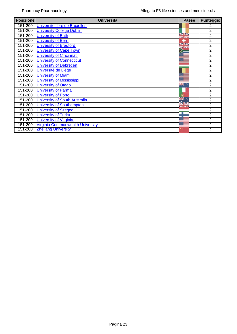| <b>Posizione</b>       | <b>Università</b>                       | <b>Paese</b> | <b>Punteggio</b> |
|------------------------|-----------------------------------------|--------------|------------------|
| 151-200                | Universite libre de Bruxelles           |              | 2                |
| 151-200                | <b>University College Dublin</b>        |              | $\overline{2}$   |
| 151-200                | <b>University of Bath</b>               |              | $\overline{2}$   |
| 151-200                | <b>University of Bern</b>               | ۰            | $\overline{2}$   |
| 151-200                | <b>University of Bradford</b>           |              | $\overline{2}$   |
| 151-200                | <b>University of Cape Town</b>          |              | $\overline{2}$   |
| 151-200                | <b>University of Cincinnati</b>         |              | $\overline{2}$   |
| $\overline{151} - 200$ | <b>University of Connecticut</b>        |              | $\overline{2}$   |
| 151-200                | <b>University of Debrecen</b>           |              | $\overline{2}$   |
| 151-200                | Université de Liège                     |              | $\overline{2}$   |
| 151-200                | <b>University of Miami</b>              |              | $\overline{2}$   |
| 151-200                | <b>University of Mississippi</b>        |              | $\overline{2}$   |
| 151-200                | <b>University of Otago</b>              | ≥≝∶          | $\overline{2}$   |
| 151-200                | <b>University of Parma</b>              |              | $\overline{2}$   |
| 151-200                | <b>University of Porto</b>              |              | 2                |
| 151-200                | <b>University of South Australia</b>    |              | $\overline{2}$   |
| 151-200                | <b>University of Southampton</b>        | 23 N         | $\overline{2}$   |
| 151-200                | <b>University of Szeged</b>             |              | $\overline{2}$   |
| 151-200                | <b>University of Turku</b>              |              | 2                |
| 151-200                | <b>University of Virginia</b>           |              | $\overline{2}$   |
| 151-200                | <b>Virginia Commonwealth University</b> |              | $\overline{2}$   |
| 151-200                | <b>Zhejiang University</b>              |              | 2                |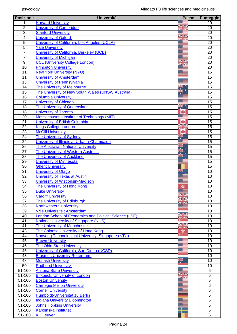| <b>Posizione</b> | <b>Università</b>                                             | <b>Paese</b> | Punteggio             |
|------------------|---------------------------------------------------------------|--------------|-----------------------|
|                  | <b>Harvard University</b>                                     |              | $\overline{20}$       |
| $\overline{2}$   | <b>University of Cambridge</b>                                | ◾            | $\overline{20}$       |
| $\overline{3}$   | <b>Stanford University</b>                                    |              | 20                    |
| $\overline{4}$   | <b>University of Oxford</b>                                   |              | 20                    |
| $\overline{5}$   | University of California, Los Angeles (UCLA)                  |              | 20                    |
| $\overline{5}$   | <b>Yale University</b>                                        |              | $\overline{20}$       |
| $\overline{7}$   | University of California, Berkeley (UCB)                      |              | 20                    |
| $\overline{7}$   | <b>University of Michigan</b>                                 |              | 20                    |
| $\overline{9}$   | <b>UCL (University College London)</b>                        | VZ           | $\overline{20}$       |
| 10               | <b>Princeton University</b>                                   |              | 20                    |
| 11               | <b>New York University (NYU)</b>                              |              | 15                    |
| 11               | <b>University of Amsterdam</b>                                |              | 15                    |
| $\overline{13}$  | <b>University of Pennsylvania</b>                             |              | $\overline{15}$       |
| 14               | The University of Melbourne                                   |              | 15                    |
| 15               | The University of New South Wales (UNSW Australia)            |              | 15                    |
| $\overline{16}$  | <b>Columbia University</b>                                    |              | $\overline{15}$       |
| $\overline{17}$  | <b>University of Chicago</b>                                  |              | 15                    |
| 18               | The University of Queensland                                  |              | 15                    |
| $\overline{18}$  | <b>University of Toronto</b>                                  |              | $\overline{15}$       |
| $\overline{20}$  | Massachusetts Institute of Technology (MIT)                   |              | $\overline{15}$       |
| 21               | <b>University of British Columbia</b>                         |              | 15                    |
| $\overline{22}$  | <b>Kings College London</b>                                   | a N          | 15                    |
| $\overline{23}$  | <b>McGill University</b>                                      |              | $\overline{15}$       |
| 24               | The University of Sydney                                      | ĸ.           | 15                    |
| $\overline{24}$  | University of Illinois at Urbana-Champaign                    |              | $\overline{15}$       |
| 26               | <b>The Australian National University</b>                     |              | $\overline{15}$       |
| $\overline{27}$  | The University of Western Australia                           |              | $\overline{15}$       |
| 28               | <b>The University of Auckland</b>                             |              | 15                    |
| 29<br>30         | <b>University of Minnesota</b>                                |              | 15<br>$\overline{15}$ |
| $\overline{31}$  | <b>Ghent University</b><br><b>University of Otago</b>         | $n \approx$  | 10                    |
| $\overline{32}$  | <b>University of Texas at Austin</b>                          |              | 10                    |
| $\overline{33}$  | <b>University of Wisconsin-Madison</b>                        |              | 10                    |
| $\overline{34}$  | The University of Hong Kong                                   | ÷            | 10                    |
| $\overline{35}$  | <b>Duke University</b>                                        |              | 10                    |
| 36               | <b>Cardiff University</b>                                     | 8K<br>8K     | 10                    |
| $\overline{37}$  | The University of Edinburgh                                   |              | $\overline{10}$       |
| 38               | <b>Northwestern University</b>                                |              | 10                    |
| $\overline{39}$  | Vrije Universiteit Amsterdam                                  |              | 10                    |
| 40               | <b>London School of Economics and Political Science (LSE)</b> |              | $\overline{10}$       |
| $\overline{41}$  | <b>National University of Singapore (NUS)</b>                 |              | 10                    |
| $\overline{41}$  | The University of Manchester                                  | ≥≍           | 10                    |
| 43               | The Chinese University of Hong Kong                           | ×            | 10                    |
| 44               | Nanyang Technological University, Singapore (NTU)             |              | 10                    |
| 45               | <b>Brown University</b>                                       |              | 10                    |
| 46               | <b>The Ohio State University</b>                              |              | 10                    |
| 46               | University of California, San Diego (UCSD)                    |              | $\overline{10}$       |
| $\overline{48}$  | <b>Erasmus University Rotterdam</b>                           |              | $\overline{10}$       |
| 48               | <b>Monash University</b>                                      | ř.           | 10                    |
| 50               | <b>Radboud University</b>                                     |              | 10                    |
| 51-100           | <b>Arizona State University</b>                               |              | $\,6$                 |
| 51-100           | <b>Birkbeck, University of London</b>                         |              | $\,6$                 |
| 51-100           | <b>Boston University</b>                                      |              | $\,6$                 |
| 51-100           | <b>Carnegie Mellon University</b>                             |              | $\,6$                 |
| 51-100           | <b>Cornell University</b>                                     |              | $\,6$                 |
| 51-100           | Humboldt-Universität zu Berlin                                |              | $\,6$                 |
| $51 - 100$       | <b>Indiana University Bloomington</b>                         |              | $\overline{6}$        |
| 51-100           | <b>Johns Hopkins University</b>                               |              | $\overline{6}$        |
| 51-100           | <b>Karolinska Institutet</b>                                  |              | $\,6$                 |
| 51-100           | <b>KU Leuven</b>                                              |              | $\overline{6}$        |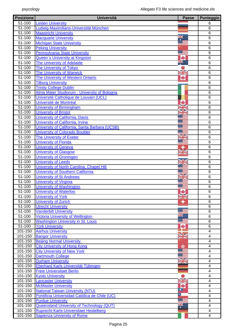| <b>Posizione</b>       | <b>Università</b>                                | <b>Paese</b>   | <b>Punteggio</b>             |
|------------------------|--------------------------------------------------|----------------|------------------------------|
| 51-100                 | <b>Leiden University</b>                         |                | 6                            |
| 51-100                 | Ludwig-Maximilians-Universität München           |                | 6                            |
| 51-100                 | <b>Maastricht University</b>                     |                | 6                            |
| $51 - 100$             | <b>Macquarie University</b>                      |                | 6                            |
| 51-100                 | <b>Michigan State University</b>                 |                | 6                            |
| $51 - 100$             | <b>Peking University</b>                         |                | 6                            |
| $51 - 100$             | <b>Pennsylvania State University</b>             |                | $\overline{6}$               |
| 51-100                 | <b>Queen's University at Kingston</b>            |                | 6                            |
| 51-100                 | <b>The University of Adelaide</b>                |                | 6                            |
| 51-100                 | <b>The University of Tokyo</b>                   |                | $\overline{6}$               |
| 51-100                 | <b>The University of Warwick</b>                 |                | $\overline{6}$               |
| 51-100                 | <b>The University of Western Ontario</b>         | ÷              | 6                            |
| $51 - 100$             | <b>Tilburg University</b>                        |                | $\overline{6}$               |
| 51-100                 | <b>Trinity College Dublin</b>                    |                | $6\phantom{1}6$              |
| 51-100                 | Alma Mater Studiorum - University of Bologna     |                | $\,6$                        |
| 51-100                 | Université Catholique de Louvain (UCL)           |                | 6                            |
| $51 - 100$             | Université de Montréal                           | ۰              | $\overline{6}$               |
| $51 - 100$             | <b>University of Birmingham</b>                  | JÞ             | $\overline{6}$               |
| 51-100                 | <b>University of Bristol</b>                     |                | 6                            |
| $51 - 100$             | University of California, Davis                  |                | $\overline{6}$               |
| $51 - 100$             | University of California, Irvine                 |                | $\overline{6}$               |
| 51-100                 | University of California, Santa Barbara (UCSB)   |                | 6                            |
| 51-100                 | <b>University of Colorado Boulder</b>            |                | $\overline{6}$               |
| 51-100                 | <b>The University of Exeter</b>                  |                | $\overline{6}$               |
| 51-100                 | <b>University of Florida</b>                     |                | 6                            |
| 51-100                 | <b>University of Geneva</b>                      |                | 6                            |
| $51 - 100$             | <b>University of Glasgow</b>                     | <b>Bally</b>   | $\overline{6}$               |
| 51-100                 | <b>University of Groningen</b>                   |                | $\overline{6}$               |
| 51-100                 | <b>University of Leeds</b>                       |                | 6                            |
| 51-100                 | University of North Carolina, Chapel Hill        |                | 6                            |
| $51 - 100$             | <b>University of Southern California</b>         |                | 6                            |
| $51 - 100$             | <b>University of St Andrews</b>                  |                | $\overline{6}$               |
| $51 - 100$             | <b>University of Virginia</b>                    |                | 6                            |
| 51-100                 | <b>University of Washington</b>                  |                | $\overline{6}$               |
| 51-100                 | <b>University of Waterloo</b>                    |                | $\overline{6}$               |
| 51-100                 | <b>University of York</b>                        |                | 6                            |
| 51-100                 | <b>University of Zurich</b>                      | ÷              | 6                            |
| 51-100                 | <b>Utrecht University</b>                        |                | $\overline{6}$               |
| 51-100                 | <b>Vanderbilt University</b>                     |                | 6                            |
| $51 - 100$             | Victoria University of Wellington                | ¥.             | 6                            |
| 51-100                 | <b>Washington University in St. Louis</b>        |                | $\overline{6}$               |
| $51 - 100$             | <b>York University</b>                           | ◆              | $\overline{6}$               |
| 101-150                | <b>Aarhus University</b>                         |                | $\overline{4}$               |
| 101-150                | <b>Bangor University</b>                         |                | $\overline{4}$               |
| 101-150                | <b>Beijing Normal University</b>                 |                | $\overline{4}$               |
| 101-150                | <b>City University of Hong Kong</b>              |                | $\overline{\mathbf{4}}$      |
| 101-150                | <b>City University of New York</b>               | 室              | 4                            |
| 101-150                | <b>Dartmouth College</b>                         |                | $\overline{\mathbf{4}}$      |
| 101-150                | <b>Durham University</b>                         | $\blacksquare$ | 4                            |
| 101-150                | Eberhard Karls Universität Tübingen              | <b>zako</b>    |                              |
| $\overline{101} - 150$ |                                                  |                | 4<br>$\overline{\mathbf{4}}$ |
|                        | <b>Freie Universitaet Berlin</b>                 |                |                              |
| 101-150                | <b>Kyoto University</b>                          |                | 4                            |
| 101-150                | <b>Lancaster University</b>                      | NK<br>25       | 4                            |
| 101-150                | <b>McMaster University</b>                       | ÷<br>▫         | $\overline{\mathbf{4}}$      |
| 101-150                | <b>National Taiwan University (NTU)</b>          | П              | $\overline{4}$               |
| 101-150                | Pontificia Universidad Católica de Chile (UC)    |                | $\overline{4}$               |
| 101-150                | <b>Purdue University</b>                         |                | $\overline{4}$               |
| 101-150                | <b>Queensland University of Technology (QUT)</b> |                | $\overline{4}$               |
| 101-150                | Ruprecht-Karls-Universitaet Heidelberg           |                | 4                            |
| 101-150                | <b>Sapienza University of Rome</b>               |                | $\overline{4}$               |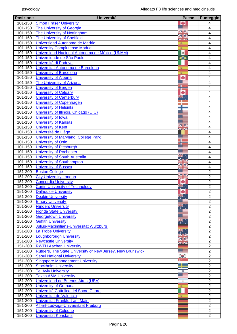| <b>Posizione</b> | Università                                                           | <b>Paese</b>      | <b>Punteggio</b>                   |
|------------------|----------------------------------------------------------------------|-------------------|------------------------------------|
| 101-150          | <b>Simon Fraser University</b>                                       |                   | 4                                  |
| $101 - 150$      | <b>The University of Georgia</b>                                     |                   | 4                                  |
| 101-150          | The University of Nottingham                                         | NØ                | 4                                  |
| 101-150          | <b>The University of Sheffield</b>                                   | 9⊠<br><b>Ball</b> | 4                                  |
| 101-150          | Universidad Autonoma de Madrid                                       | 浚                 | 4                                  |
| $101 - 150$      | <b>University Complutense Madrid</b>                                 | 麦                 | 4                                  |
| 101-150          | Universidad Nacional Autónoma de México (UNAM)                       | $\bullet$         | $\overline{4}$                     |
| 101-150          | Universidade de São Paulo                                            | ⊖                 | $\overline{4}$                     |
| 101-150          | Università di Padova                                                 |                   | $\overline{4}$                     |
| 101-150          | Universitat Autònoma de Barcelona                                    | 鉴                 | $\overline{4}$                     |
| 101-150          | <b>University of Barcelona</b>                                       | 変                 | 4                                  |
| 101-150          | <b>University of Alberta</b>                                         | ÷                 | 4                                  |
| 101-150          | <b>The University of Arizona</b>                                     |                   | $\overline{4}$                     |
| 101-150          | <b>University of Bergen</b>                                          | īΕ                | 4                                  |
| 101-150          | <b>University of Calgary</b>                                         | ÷                 | 4                                  |
| 101-150          | <b>University of Canterbury</b>                                      | aliz<br>alik      | 4                                  |
| $101 - 150$      | <b>University of Copenhagen</b>                                      |                   | 4                                  |
| $101 - 150$      | <b>University of Helsinki</b>                                        |                   | 4                                  |
| $101 - 150$      | University of Illinois, Chicago (UIC)                                |                   | $\overline{4}$                     |
| 101-150          | University of Iowa                                                   |                   | $\overline{4}$                     |
| 101-150          | <b>University of Kansas</b>                                          |                   | $\overline{4}$                     |
| 101-150          | <b>University of Kent</b>                                            | VZ                | $\overline{4}$                     |
| 101-150          | Université de Liège                                                  |                   | $\overline{4}$                     |
| 101-150          | University of Maryland, College Park                                 |                   | $\overline{4}$                     |
| 101-150          | <b>University of Oslo</b>                                            |                   | 4                                  |
| 101-150          | <b>University of Pittsburgh</b>                                      | T                 | 4                                  |
| 101-150          | <b>University of Rochester</b>                                       |                   | 4                                  |
| 101-150          | <b>University of South Australia</b>                                 | l≂. .             | 4                                  |
| 101-150          | University of Southampton                                            |                   | 4                                  |
| 101-150          | <b>University of Sussex</b>                                          |                   | 4                                  |
| 151-200          | <b>Boston College</b>                                                |                   | $\overline{2}$                     |
| 151-200          | <b>City University London</b>                                        | S 12              | $\overline{2}$                     |
| 151-200          | <b>Concordia University</b>                                          | za is             | $\overline{2}$                     |
| 151-200          | <b>Curtin University of Technology</b>                               | ₩                 | $\overline{2}$                     |
| 151-200          | <b>Dalhousie University</b>                                          | ÷                 | $\overline{2}$                     |
| 151-200          | <b>Deakin University</b>                                             |                   | $\mathbf 2$                        |
| 151-200          | <b>Emory University</b>                                              |                   | $\overline{2}$                     |
| 151-200          | <b>Flinders University</b>                                           |                   | $\overline{2}$                     |
| 151-200          | <b>Florida State University</b>                                      |                   | $\overline{2}$                     |
| 151-200          | <b>Georgetown University</b>                                         |                   | $\overline{2}$                     |
| 151-200          | <b>Griffith University</b>                                           |                   | $\overline{2}$                     |
| 151-200          | Julius-Maximilians-Universität Würzburg                              |                   | $\overline{2}$                     |
| 151-200          | <b>La Trobe University</b>                                           |                   | $\overline{2}$                     |
| 151-200          | <b>Loughborough University</b>                                       |                   | $\overline{2}$                     |
| $151 - 200$      | <b>Newcastle University</b>                                          |                   | $\overline{2}$                     |
| 151-200          | <b>RWTH Aachen University</b>                                        |                   | $\overline{2}$                     |
| 151-200          | <b>Rutgers, The State University of New Jersey, New Brunswick</b>    |                   | $\overline{2}$                     |
| 151-200          | <b>Seoul National University</b>                                     | $\bullet$         | $\overline{2}$                     |
| 151-200          | <b>Singapore Management University</b>                               |                   | $\overline{2}$                     |
|                  |                                                                      | -                 |                                    |
| 151-200          | <b>Stockholm University</b>                                          | <b>19 Mill</b>    | $\boldsymbol{2}$<br>$\overline{2}$ |
| 151-200          | <b>Tel Aviv University</b>                                           | <b>Q</b>          | $\overline{2}$                     |
| 151-200          | <b>Texas A&amp;M University</b><br>Universidad de Buenos Aires (UBA) |                   |                                    |
| 151-200          |                                                                      |                   | $\overline{2}$                     |
| 151-200          | <b>University of Granada</b>                                         | 麦                 | $\overline{2}$                     |
| 151-200          | Università Cattolica del Sacro Cuore                                 |                   | $\overline{2}$                     |
| 151-200          | Universitat de Valencia                                              |                   | $\overline{2}$                     |
| 151-200          | Universität Frankfurt am Main                                        |                   | $\overline{2}$                     |
| 151-200          | Albert-Ludwigs-Universitaet Freiburg                                 |                   | $\overline{2}$                     |
| 151-200          | <b>University of Cologne</b>                                         |                   | $\overline{2}$                     |
| 151-200          | Universität Konstanz                                                 |                   | $\overline{2}$                     |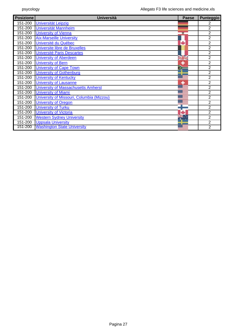| <b>Posizione</b> | <b>Università</b>                         | Paese                    | Punteggio      |
|------------------|-------------------------------------------|--------------------------|----------------|
| 151-200          | <b>Universität Leipzig</b>                |                          | 2              |
| 151-200          | <b>Universität Mannheim</b>               |                          | 2              |
| 151-200          | <b>University of Vienna</b>               |                          | $\overline{2}$ |
| 151-200          | <b>Aix-Marseille University</b>           |                          | $\overline{2}$ |
| 151-200          | Université du Québec                      | ٠                        | $\overline{2}$ |
| 151-200          | Universite libre de Bruxelles             |                          | 2              |
| 151-200          | <b>Université Paris Descartes</b>         |                          | 2              |
| 151-200          | <b>University of Aberdeen</b>             | $\overline{\phantom{a}}$ | 2              |
| 151-200          | <b>University of Bern</b>                 |                          | $\overline{2}$ |
| 151-200          | <b>University of Cape Town</b>            |                          | $\overline{2}$ |
| 151-200          | <b>University of Gothenburg</b>           |                          | 2              |
| 151-200          | <b>University of Kentucky</b>             |                          | $\overline{2}$ |
| 151-200          | <b>University of Lausanne</b>             |                          | 2              |
| 151-200          | University of Massachusetts Amherst       |                          | $\overline{2}$ |
| 151-200          | <b>University of Miami</b>                |                          | 2              |
| 151-200          | University of Missouri, Columbia (Mizzou) |                          | $\overline{2}$ |
| 151-200          | <b>University of Oregon</b>               |                          | $\overline{2}$ |
| 151-200          | <b>University of Turku</b>                |                          | $\overline{2}$ |
| 151-200          | <b>University of Victoria</b>             |                          | 2              |
| 151-200          | <b>Western Sydney University</b>          |                          | 2              |
| 151-200          | <b>Uppsala University</b>                 |                          | 2              |
| 151-200          | <b>Washington State University</b>        |                          | $\overline{2}$ |